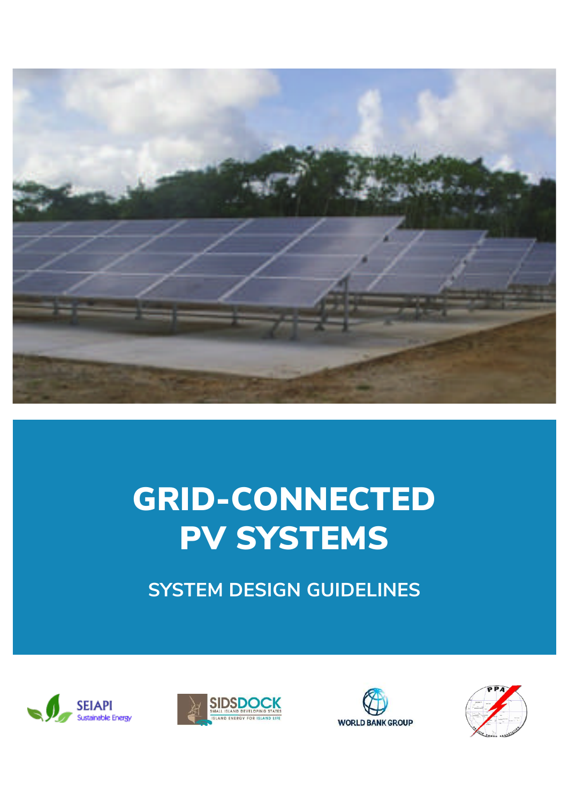

# GRID-CONNECTED PV SYSTEMS

**SYSTEM DESIGN GUIDELINES**







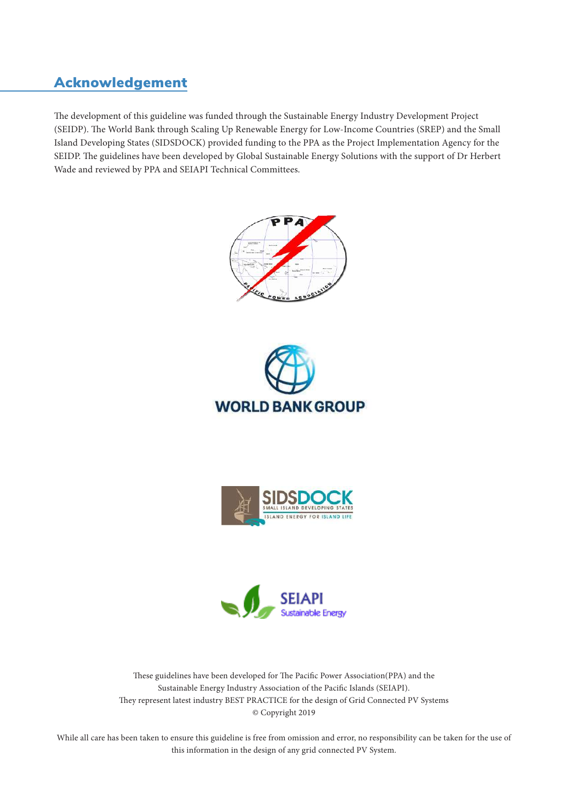# Acknowledgement

The development of this guideline was funded through the Sustainable Energy Industry Development Project (SEIDP). The World Bank through Scaling Up Renewable Energy for Low-Income Countries (SREP) and the Small Island Developing States (SIDSDOCK) provided funding to the PPA as the Project Implementation Agency for the SEIDP. The guidelines have been developed by Global Sustainable Energy Solutions with the support of Dr Herbert Wade and reviewed by PPA and SEIAPI Technical Committees.









These guidelines have been developed for The Pacific Power Association(PPA) and the Sustainable Energy Industry Association of the Pacific Islands (SEIAPI). They represent latest industry BEST PRACTICE for the design of Grid Connected PV Systems © Copyright 2019

While all care has been taken to ensure this guideline is free from omission and error, no responsibility can be taken for the use of this information in the design of any grid connected PV System.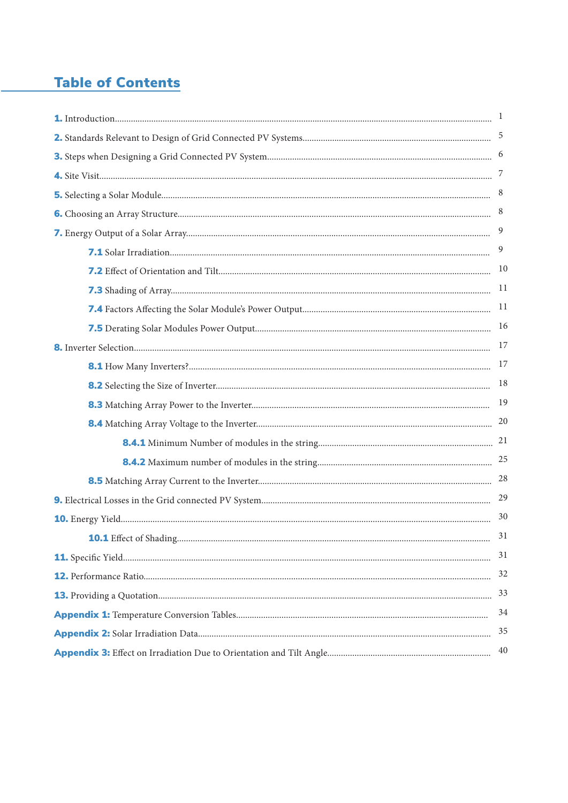# **Table of Contents**

|                         | 7              |
|-------------------------|----------------|
|                         | 8              |
|                         | 8              |
|                         | $\overline{9}$ |
|                         | 9              |
|                         | 10             |
|                         | 11             |
|                         | <sup>11</sup>  |
|                         | 16             |
|                         | 17             |
|                         | 17             |
|                         | 18             |
|                         | 19             |
|                         | 20             |
|                         |                |
|                         |                |
|                         | 28             |
|                         | 29             |
|                         | 30             |
| 10.1 Effect of Shading. | 31             |
|                         | 31             |
|                         | 32             |
|                         | 33             |
|                         | 34             |
|                         | 35             |
|                         | 40             |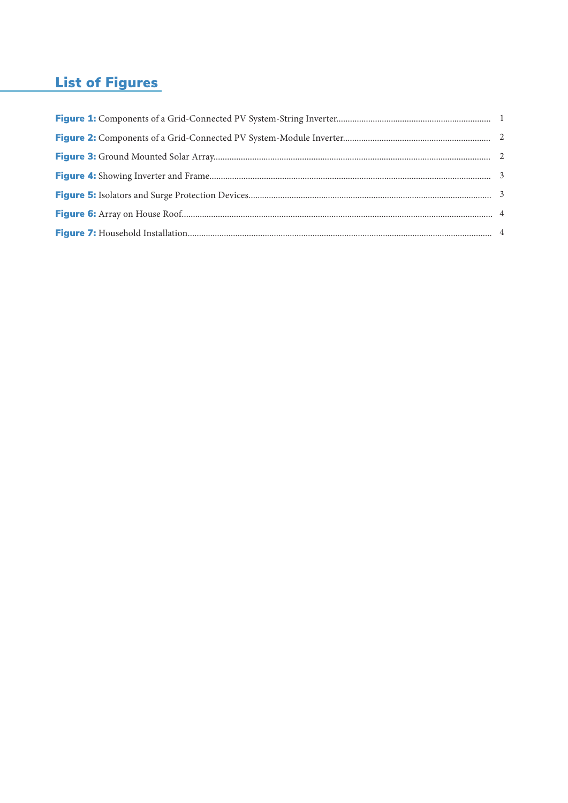# List of Figures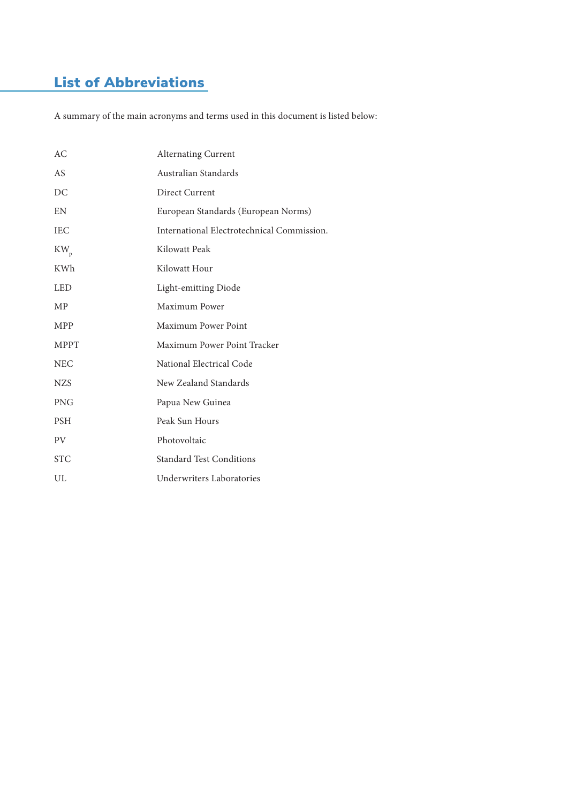# List of Abbreviations

A summary of the main acronyms and terms used in this document is listed below:

| АC          | <b>Alternating Current</b>                 |
|-------------|--------------------------------------------|
| AS          | Australian Standards                       |
| DC          | Direct Current                             |
| EN          | European Standards (European Norms)        |
| <b>IEC</b>  | International Electrotechnical Commission. |
| $KW_p$      | Kilowatt Peak                              |
| KWh         | Kilowatt Hour                              |
| <b>LED</b>  | Light-emitting Diode                       |
| <b>MP</b>   | Maximum Power                              |
| <b>MPP</b>  | Maximum Power Point                        |
| <b>MPPT</b> | Maximum Power Point Tracker                |
| <b>NEC</b>  | National Electrical Code                   |
| <b>NZS</b>  | New Zealand Standards                      |
| <b>PNG</b>  | Papua New Guinea                           |
| <b>PSH</b>  | Peak Sun Hours                             |
| <b>PV</b>   | Photovoltaic                               |
| <b>STC</b>  | <b>Standard Test Conditions</b>            |
| UL          | Underwriters Laboratories                  |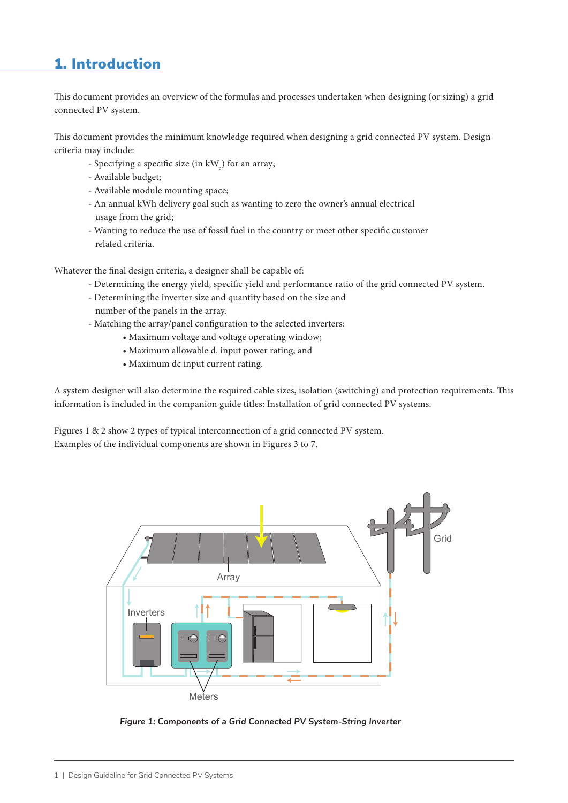# 1. Introduction

This document provides an overview of the formulas and processes undertaken when designing (or sizing) a grid connected PV system.

This document provides the minimum knowledge required when designing a grid connected PV system. Design criteria may include:

- Specifying a specific size (in  $kW_p$ ) for an array;
- Available budget;
- Available module mounting space;
- An annual kWh delivery goal such as wanting to zero the owner's annual electrical usage from the grid;
- Wanting to reduce the use of fossil fuel in the country or meet other specific customer related criteria.

Whatever the final design criteria, a designer shall be capable of:

- Determining the energy yield, specific yield and performance ratio of the grid connected PV system.
- Determining the inverter size and quantity based on the size and number of the panels in the array.
- Matching the array/panel configuration to the selected inverters:
	- Maximum voltage and voltage operating window;
	- Maximum allowable d. input power rating; and
	- Maximum dc input current rating.

A system designer will also determine the required cable sizes, isolation (switching) and protection requirements. This information is included in the companion guide titles: Installation of grid connected PV systems.

Figures 1 & 2 show 2 types of typical interconnection of a grid connected PV system. Examples of the individual components are shown in Figures 3 to 7.



*Figure 1: Components of a Grid Connected PV System-String Inverter*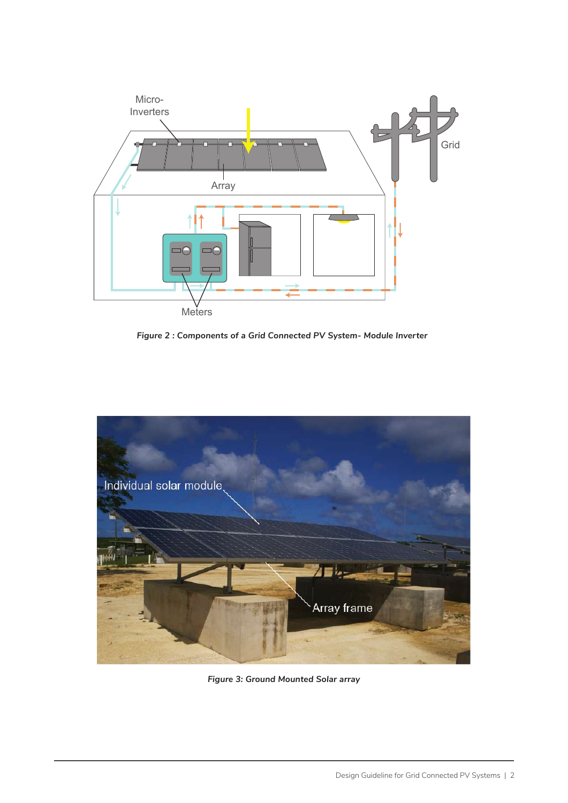

*Figure 2 : Components of a Grid Connected PV System- Module Inverter*



*Figure 3: Ground Mounted Solar array*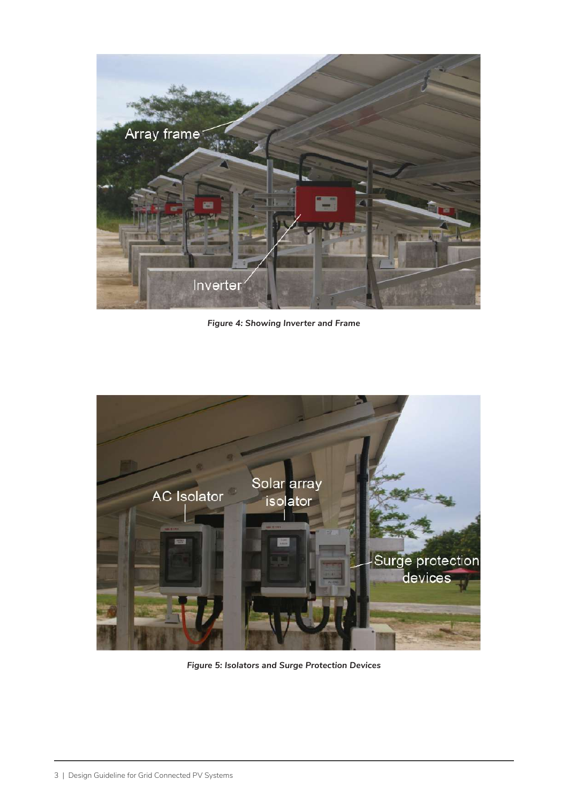

*Figure 4: Showing Inverter and Frame*



*Figure 5: Isolators and Surge Protection Devices*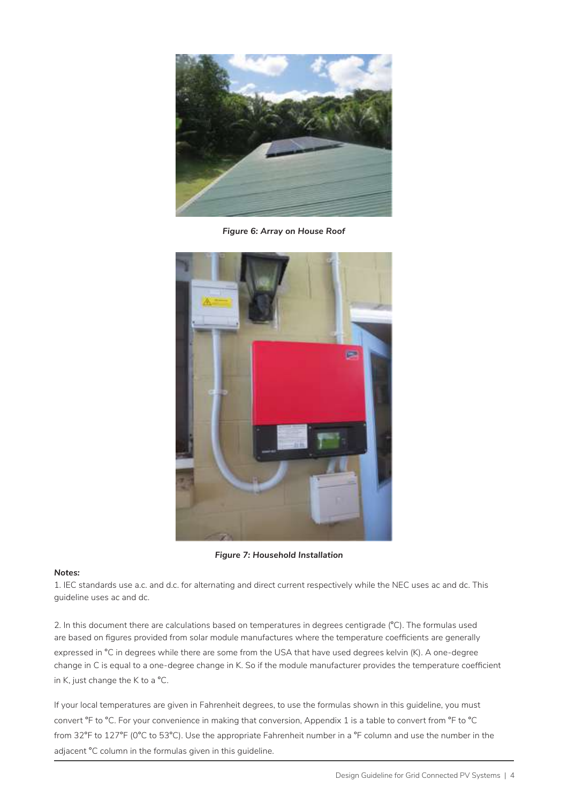

*Figure 6: Array on House Roof*



*Figure 7: Household Installation*

#### *Notes:*

1. IEC standards use a.c. and d.c. for alternating and direct current respectively while the NEC uses ac and dc. This guideline uses ac and dc.

2. In this document there are calculations based on temperatures in degrees centigrade (°C). The formulas used are based on figures provided from solar module manufactures where the temperature coefficients are generally expressed in °C in degrees while there are some from the USA that have used degrees kelvin (K). A one-degree change in C is equal to a one-degree change in K. So if the module manufacturer provides the temperature coefficient in K, just change the K to a °C.

If your local temperatures are given in Fahrenheit degrees, to use the formulas shown in this guideline, you must convert °F to °C. For your convenience in making that conversion, Appendix 1 is a table to convert from °F to °C from 32°F to 127°F (0°C to 53°C). Use the appropriate Fahrenheit number in a °F column and use the number in the adjacent °C column in the formulas given in this guideline.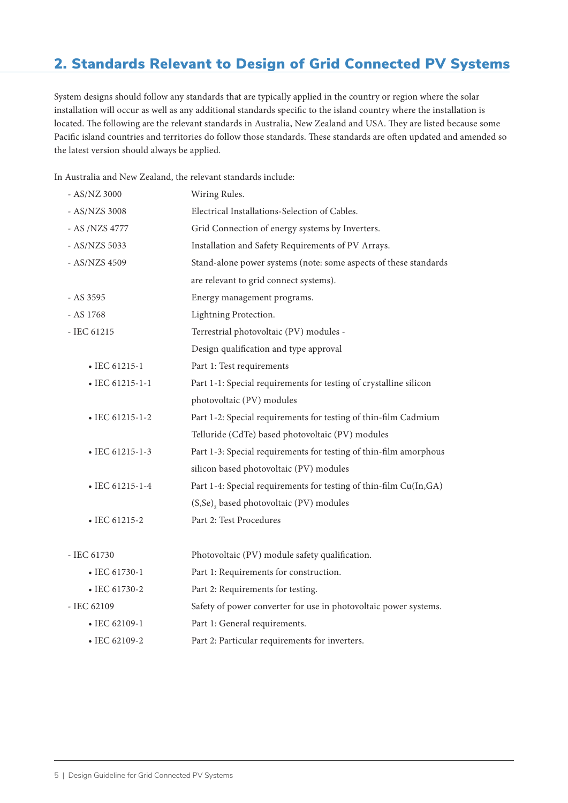# 2. Standards Relevant to Design of Grid Connected PV Systems

System designs should follow any standards that are typically applied in the country or region where the solar installation will occur as well as any additional standards specific to the island country where the installation is located. The following are the relevant standards in Australia, New Zealand and USA. They are listed because some Pacific island countries and territories do follow those standards. These standards are often updated and amended so the latest version should always be applied.

In Australia and New Zealand, the relevant standards include:

| - AS/NZ 3000            | Wiring Rules.                                                     |
|-------------------------|-------------------------------------------------------------------|
| - AS/NZS 3008           | Electrical Installations-Selection of Cables.                     |
| - AS /NZS 4777          | Grid Connection of energy systems by Inverters.                   |
| - AS/NZS 5033           | Installation and Safety Requirements of PV Arrays.                |
| - AS/NZS 4509           | Stand-alone power systems (note: some aspects of these standards  |
|                         | are relevant to grid connect systems).                            |
| - AS 3595               | Energy management programs.                                       |
| - AS 1768               | Lightning Protection.                                             |
| - IEC 61215             | Terrestrial photovoltaic (PV) modules -                           |
|                         | Design qualification and type approval                            |
| $\bullet$ IEC 61215-1   | Part 1: Test requirements                                         |
| $\bullet$ IEC 61215-1-1 | Part 1-1: Special requirements for testing of crystalline silicon |
|                         | photovoltaic (PV) modules                                         |
| $\bullet$ IEC 61215-1-2 | Part 1-2: Special requirements for testing of thin-film Cadmium   |
|                         | Telluride (CdTe) based photovoltaic (PV) modules                  |
| $\bullet$ IEC 61215-1-3 | Part 1-3: Special requirements for testing of thin-film amorphous |
|                         | silicon based photovoltaic (PV) modules                           |
| $\bullet$ IEC 61215-1-4 | Part 1-4: Special requirements for testing of thin-film Cu(In,GA) |
|                         | (S,Se) <sub>2</sub> based photovoltaic (PV) modules               |
| • IEC 61215-2           | Part 2: Test Procedures                                           |
|                         |                                                                   |
| - IEC 61730             | Photovoltaic (PV) module safety qualification.                    |
| $\bullet$ IEC 61730-1   | Part 1: Requirements for construction.                            |
| • IEC 61730-2           | Part 2: Requirements for testing.                                 |
| - IEC 62109             | Safety of power converter for use in photovoltaic power systems.  |
| $\bullet$ IEC 62109-1   | Part 1: General requirements.                                     |
| • IEC 62109-2           | Part 2: Particular requirements for inverters.                    |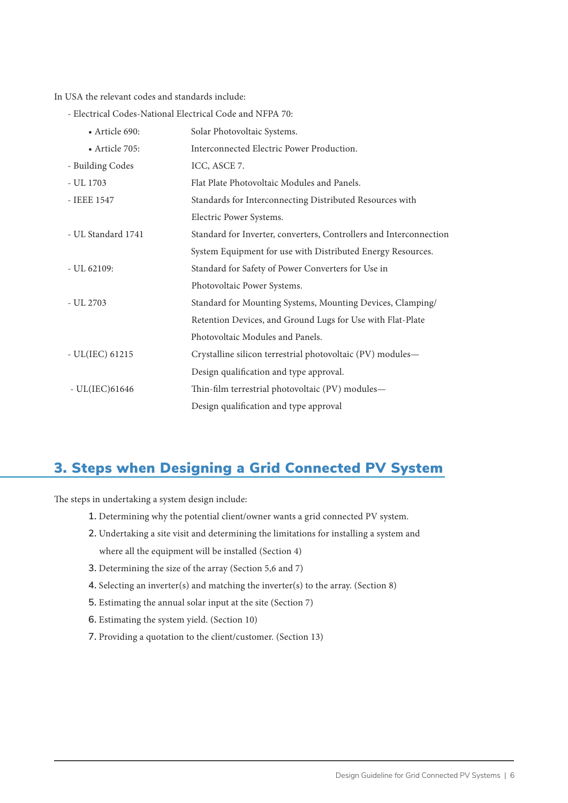In USA the relevant codes and standards include:

- Electrical Codes-National Electrical Code and NFPA 70:

| • Article 690:         | Solar Photovoltaic Systems.                                        |
|------------------------|--------------------------------------------------------------------|
| $\bullet$ Article 705: | Interconnected Electric Power Production.                          |
| - Building Codes       | ICC, ASCE 7.                                                       |
| - UL 1703              | Flat Plate Photovoltaic Modules and Panels.                        |
| - IEEE 1547            | Standards for Interconnecting Distributed Resources with           |
|                        | Electric Power Systems.                                            |
| - UL Standard 1741     | Standard for Inverter, converters, Controllers and Interconnection |
|                        | System Equipment for use with Distributed Energy Resources.        |
| $-UL62109:$            | Standard for Safety of Power Converters for Use in                 |
|                        | Photovoltaic Power Systems.                                        |
| - UL 2703              | Standard for Mounting Systems, Mounting Devices, Clamping/         |
|                        | Retention Devices, and Ground Lugs for Use with Flat-Plate         |
|                        | Photovoltaic Modules and Panels.                                   |
| $-UL(IEC)$ 61215       | Crystalline silicon terrestrial photovoltaic (PV) modules-         |
|                        | Design qualification and type approval.                            |
| $-UL(IEC)61646$        | Thin-film terrestrial photovoltaic (PV) modules-                   |
|                        | Design qualification and type approval                             |

# 3. Steps when Designing a Grid Connected PV System

The steps in undertaking a system design include:

- **1.** Determining why the potential client/owner wants a grid connected PV system.
- **2.** Undertaking a site visit and determining the limitations for installing a system and where all the equipment will be installed (Section 4)
- **3.** Determining the size of the array (Section 5,6 and 7)
- **4.** Selecting an inverter(s) and matching the inverter(s) to the array. (Section 8)
- **5.** Estimating the annual solar input at the site (Section 7)
- **6.** Estimating the system yield. (Section 10)
- **7.** Providing a quotation to the client/customer. (Section 13)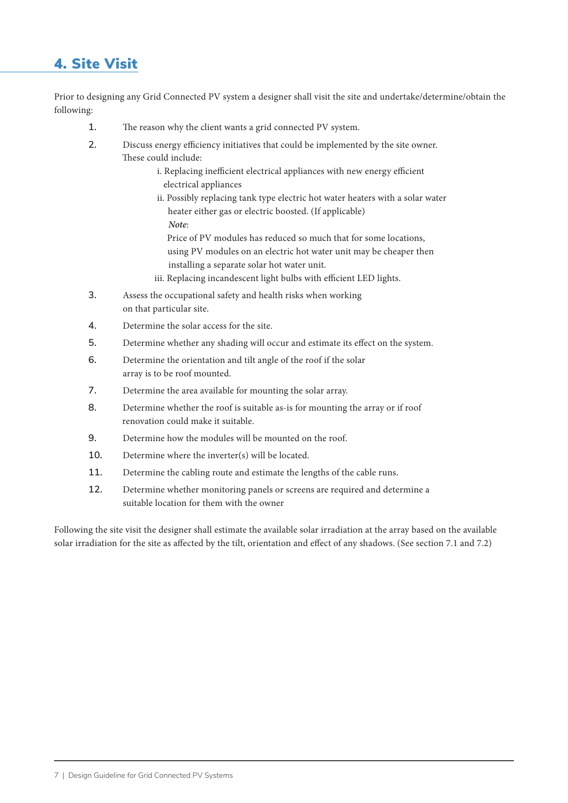# 4. Site Visit

Prior to designing any Grid Connected PV system a designer shall visit the site and undertake/determine/obtain the following:

- **1.** The reason why the client wants a grid connected PV system.
- **2.** Discuss energy efficiency initiatives that could be implemented by the site owner. These could include:
	- i. Replacing inefficient electrical appliances with new energy efficient electrical appliances
	- ii. Possibly replacing tank type electric hot water heaters with a solar water heater either gas or electric boosted. (If applicable) *Note*:

 Price of PV modules has reduced so much that for some locations, using PV modules on an electric hot water unit may be cheaper then installing a separate solar hot water unit.

- iii. Replacing incandescent light bulbs with efficient LED lights.
- **3.** Assess the occupational safety and health risks when working on that particular site.
- **4.** Determine the solar access for the site.
- **5.** Determine whether any shading will occur and estimate its effect on the system.
- **6.** Determine the orientation and tilt angle of the roof if the solar array is to be roof mounted.
- **7.** Determine the area available for mounting the solar array.
- **8.** Determine whether the roof is suitable as-is for mounting the array or if roof renovation could make it suitable.
- **9.** Determine how the modules will be mounted on the roof.
- **10.** Determine where the inverter(s) will be located.
- **11.** Determine the cabling route and estimate the lengths of the cable runs.
- **12.** Determine whether monitoring panels or screens are required and determine a suitable location for them with the owner

Following the site visit the designer shall estimate the available solar irradiation at the array based on the available solar irradiation for the site as affected by the tilt, orientation and effect of any shadows. (See section 7.1 and 7.2)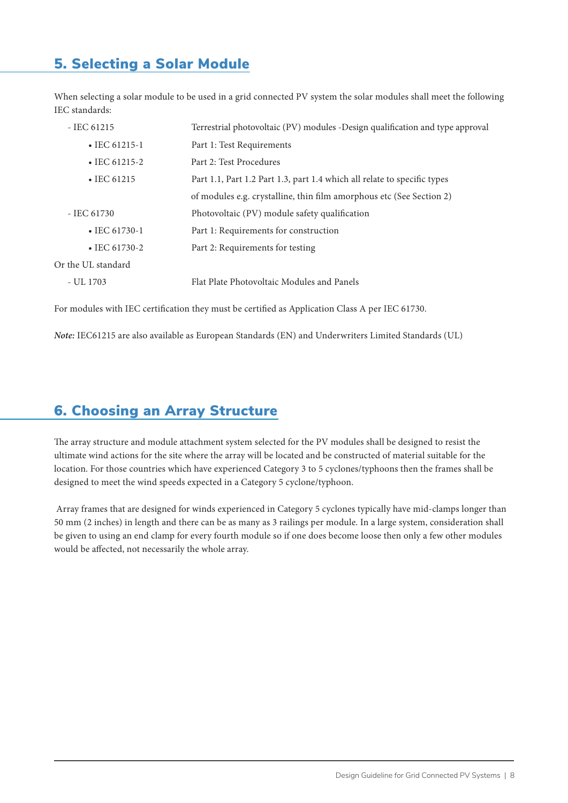# 5. Selecting a Solar Module

 $Or$ 

When selecting a solar module to be used in a grid connected PV system the solar modules shall meet the following IEC standards:

| $-$ IEC 61215         | Terrestrial photovoltaic (PV) modules -Design qualification and type approval |
|-----------------------|-------------------------------------------------------------------------------|
| $\cdot$ IEC 61215-1   | Part 1: Test Requirements                                                     |
| $\bullet$ IEC 61215-2 | Part 2: Test Procedures                                                       |
| $\cdot$ IEC 61215     | Part 1.1, Part 1.2 Part 1.3, part 1.4 which all relate to specific types      |
|                       | of modules e.g. crystalline, thin film amorphous etc (See Section 2)          |
| - IEC 61730           | Photovoltaic (PV) module safety qualification                                 |
| $\bullet$ IEC 61730-1 | Part 1: Requirements for construction                                         |
| $\bullet$ IEC 61730-2 | Part 2: Requirements for testing                                              |
| Or the UL standard    |                                                                               |
| - UL 1703             | Flat Plate Photovoltaic Modules and Panels                                    |

For modules with IEC certification they must be certified as Application Class A per IEC 61730.

*Note:* IEC61215 are also available as European Standards (EN) and Underwriters Limited Standards (UL)

# 6. Choosing an Array Structure

The array structure and module attachment system selected for the PV modules shall be designed to resist the ultimate wind actions for the site where the array will be located and be constructed of material suitable for the location. For those countries which have experienced Category 3 to 5 cyclones/typhoons then the frames shall be designed to meet the wind speeds expected in a Category 5 cyclone/typhoon.

 Array frames that are designed for winds experienced in Category 5 cyclones typically have mid-clamps longer than 50 mm (2 inches) in length and there can be as many as 3 railings per module. In a large system, consideration shall be given to using an end clamp for every fourth module so if one does become loose then only a few other modules would be affected, not necessarily the whole array.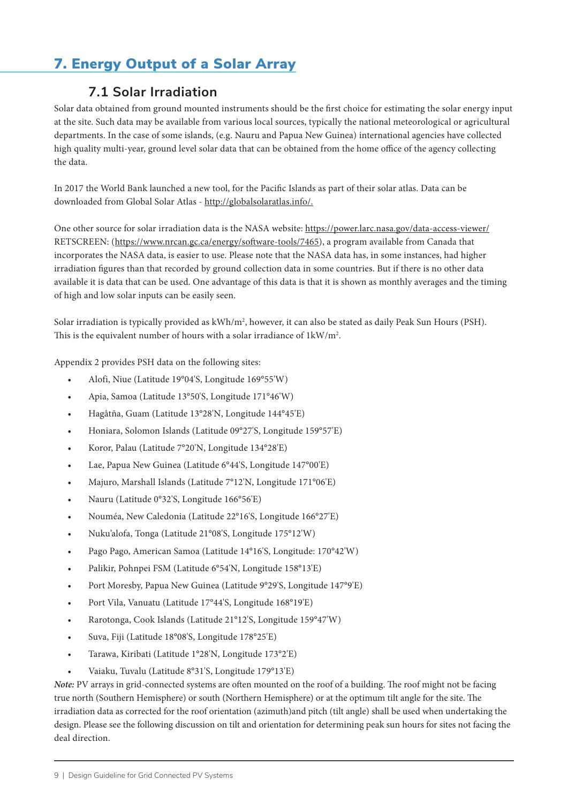# 7. Energy Output of a Solar Array

# **7.1 Solar Irradiation**

Solar data obtained from ground mounted instruments should be the first choice for estimating the solar energy input at the site. Such data may be available from various local sources, typically the national meteorological or agricultural departments. In the case of some islands, (e.g. Nauru and Papua New Guinea) international agencies have collected high quality multi-year, ground level solar data that can be obtained from the home office of the agency collecting the data.

In 2017 the World Bank launched a new tool, for the Pacific Islands as part of their solar atlas. Data can be downloaded from Global Solar Atlas - http://globalsolaratlas.info/.

One other source for solar irradiation data is the NASA website: https://power.larc.nasa.gov/data-access-viewer/ RETSCREEN: (https://www.nrcan.gc.ca/energy/software-tools/7465), a program available from Canada that incorporates the NASA data, is easier to use. Please note that the NASA data has, in some instances, had higher irradiation figures than that recorded by ground collection data in some countries. But if there is no other data available it is data that can be used. One advantage of this data is that it is shown as monthly averages and the timing of high and low solar inputs can be easily seen.

Solar irradiation is typically provided as kWh/m2 , however, it can also be stated as daily Peak Sun Hours (PSH). This is the equivalent number of hours with a solar irradiance of  $1 \text{kW/m}^2$ .

Appendix 2 provides PSH data on the following sites:

- Alofi, Niue (Latitude 19°04'S, Longitude 169°55'W)
- Apia, Samoa (Latitude 13°50'S, Longitude 171°46'W)
- Hagåtña, Guam (Latitude 13°28'N, Longitude 144°45'E)
- Honiara, Solomon Islands (Latitude 09°27'S, Longitude 159°57'E)
- Koror, Palau (Latitude 7°20'N, Longitude 134°28'E)
- Lae, Papua New Guinea (Latitude 6°44'S, Longitude 147°00'E)
- Majuro, Marshall Islands (Latitude 7°12'N, Longitude 171°06'E)
- Nauru (Latitude 0°32'S, Longitude 166°56'E)
- Nouméa, New Caledonia (Latitude 22°16'S, Longitude 166°27'E)
- Nuku'alofa, Tonga (Latitude 21°08'S, Longitude 175°12'W)
- Pago Pago, American Samoa (Latitude 14°16'S, Longitude: 170°42'W)
- Palikir, Pohnpei FSM (Latitude 6°54'N, Longitude 158°13'E)
- Port Moresby, Papua New Guinea (Latitude 9°29'S, Longitude 147°9'E)
- Port Vila, Vanuatu (Latitude 17°44'S, Longitude 168°19'E)
- Rarotonga, Cook Islands (Latitude 21°12'S, Longitude 159°47'W)
- Suva, Fiji (Latitude 18°08'S, Longitude 178°25'E)
- Tarawa, Kiribati (Latitude 1°28'N, Longitude 173°2'E)
- Vaiaku, Tuvalu (Latitude 8°31'S, Longitude 179°13'E)

*Note:* PV arrays in grid-connected systems are often mounted on the roof of a building. The roof might not be facing true north (Southern Hemisphere) or south (Northern Hemisphere) or at the optimum tilt angle for the site. The irradiation data as corrected for the roof orientation (azimuth)and pitch (tilt angle) shall be used when undertaking the design. Please see the following discussion on tilt and orientation for determining peak sun hours for sites not facing the deal direction.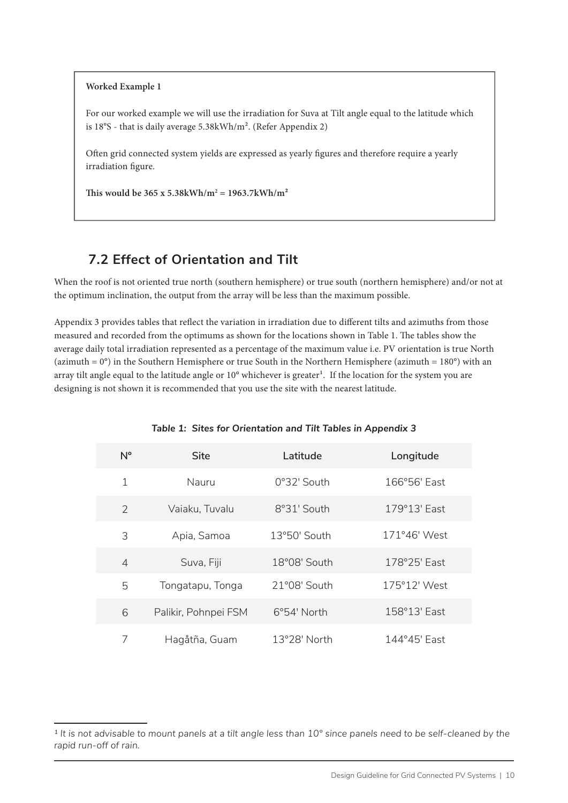#### **Worked Example 1**

For our worked example we will use the irradiation for Suva at Tilt angle equal to the latitude which is 18°S - that is daily average 5.38kWh/m2. (Refer Appendix 2)

Often grid connected system yields are expressed as yearly figures and therefore require a yearly irradiation figure.

This would be  $365 \times 5.38 \text{kWh/m}^2 = 1963.7 \text{kWh/m}^2$ 

### **7.2 Effect of Orientation and Tilt**

When the roof is not oriented true north (southern hemisphere) or true south (northern hemisphere) and/or not at the optimum inclination, the output from the array will be less than the maximum possible.

Appendix 3 provides tables that reflect the variation in irradiation due to different tilts and azimuths from those measured and recorded from the optimums as shown for the locations shown in Table 1. The tables show the average daily total irradiation represented as a percentage of the maximum value i.e. PV orientation is true North (azimuth =  $0^{\circ}$ ) in the Southern Hemisphere or true South in the Northern Hemisphere (azimuth =  $180^{\circ}$ ) with an array tilt angle equal to the latitude angle or 10° whichever is greater<sup>1</sup>. If the location for the system you are designing is not shown it is recommended that you use the site with the nearest latitude.

| $N^{\circ}$    | Site                 | Latitude       | Longitude    |
|----------------|----------------------|----------------|--------------|
| 1              | Nauru                | 0°32' South    | 166°56' East |
| $\mathcal{P}$  | Vaiaku, Tuvalu       | 8°31' South    | 179°13' East |
| 3              | Apia, Samoa          | 13°50' South   | 171°46' West |
| $\overline{4}$ | Suva, Fiji           | 18°08' South   | 178°25' East |
| 5              | Tongatapu, Tonga     | 21°08' South   | 175°12' West |
| 6              | Palikir, Pohnpei FSM | 6°54' North    | 158°13' East |
| 7              | Hagåtña, Guam        | $13°28'$ North | 144°45' Fast |

#### *Table 1: Sites for Orientation and Tilt Tables in Appendix 3*

*<sup>1</sup> It is not advisable to mount panels at a tilt angle less than 10° since panels need to be self-cleaned by the rapid run-off of rain.*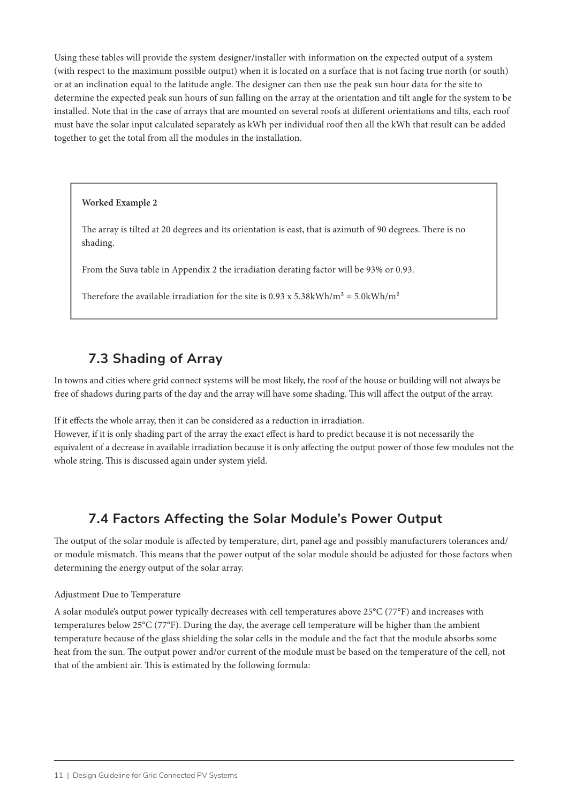Using these tables will provide the system designer/installer with information on the expected output of a system (with respect to the maximum possible output) when it is located on a surface that is not facing true north (or south) or at an inclination equal to the latitude angle. The designer can then use the peak sun hour data for the site to determine the expected peak sun hours of sun falling on the array at the orientation and tilt angle for the system to be installed. Note that in the case of arrays that are mounted on several roofs at different orientations and tilts, each roof must have the solar input calculated separately as kWh per individual roof then all the kWh that result can be added together to get the total from all the modules in the installation.

#### **Worked Example 2**

The array is tilted at 20 degrees and its orientation is east, that is azimuth of 90 degrees. There is no shading.

From the Suva table in Appendix 2 the irradiation derating factor will be 93% or 0.93.

Therefore the available irradiation for the site is  $0.93 \times 5.38 \text{kWh/m}^2 = 5.0 \text{kWh/m}^2$ 

### **7.3 Shading of Array**

In towns and cities where grid connect systems will be most likely, the roof of the house or building will not always be free of shadows during parts of the day and the array will have some shading. This will affect the output of the array.

If it effects the whole array, then it can be considered as a reduction in irradiation.

However, if it is only shading part of the array the exact effect is hard to predict because it is not necessarily the equivalent of a decrease in available irradiation because it is only affecting the output power of those few modules not the whole string. This is discussed again under system yield.

### **7.4 Factors Affecting the Solar Module's Power Output**

The output of the solar module is affected by temperature, dirt, panel age and possibly manufacturers tolerances and/ or module mismatch. This means that the power output of the solar module should be adjusted for those factors when determining the energy output of the solar array.

#### Adjustment Due to Temperature

A solar module's output power typically decreases with cell temperatures above 25°C (77°F) and increases with temperatures below 25°C (77°F). During the day, the average cell temperature will be higher than the ambient temperature because of the glass shielding the solar cells in the module and the fact that the module absorbs some heat from the sun. The output power and/or current of the module must be based on the temperature of the cell, not that of the ambient air. This is estimated by the following formula: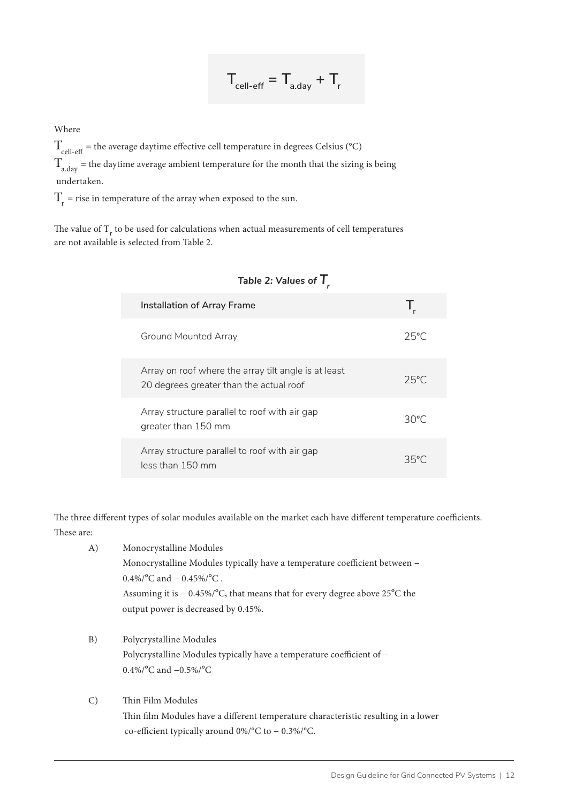$$
T_{\text{cell-off}} = T_{\text{a/day}} + T_{\text{r}}
$$

Where

 $T_{cell-off}$  = the average daytime effective cell temperature in degrees Celsius (°C)  $T_{\mathrm{a, day}}$  = the daytime average ambient temperature for the month that the sizing is being undertaken.

 $T<sub>r</sub>$  = rise in temperature of the array when exposed to the sun.

The value of  $\rm T_{r}$  to be used for calculations when actual measurements of cell temperatures are not available is selected from Table 2.

| $14.015$ $\pm 1$ $14.455$ $\pm 1$                                                               |                |
|-------------------------------------------------------------------------------------------------|----------------|
| Installation of Array Frame                                                                     | T.             |
| Ground Mounted Array                                                                            | $25^{\circ}$ C |
| Array on roof where the array tilt angle is at least<br>20 degrees greater than the actual roof | $25^{\circ}$ C |
| Array structure parallel to roof with air gap<br>greater than 150 mm                            | $30^{\circ}$ C |
| Array structure parallel to roof with air gap<br>less than 150 mm                               | 35°C           |

### Table  $2:$  Values of  $T$

The three different types of solar modules available on the market each have different temperature coefficients. These are:

| A) | Monocrystalline Modules                                                       |
|----|-------------------------------------------------------------------------------|
|    | Monocrystalline Modules typically have a temperature coefficient between -    |
|    | $0.4\%$ /°C and $-0.45\%$ /°C.                                                |
|    | Assuming it is $-0.45\%$ /°C, that means that for every degree above 25°C the |
|    | output power is decreased by 0.45%.                                           |
|    |                                                                               |

- B) Polycrystalline Modules Polycrystalline Modules typically have a temperature coefficient of − 0.4%/°C and −0.5%/°C
- C) Thin Film Modules Thin film Modules have a different temperature characteristic resulting in a lower co-efficient typically around 0%/°C to − 0.3%/°C.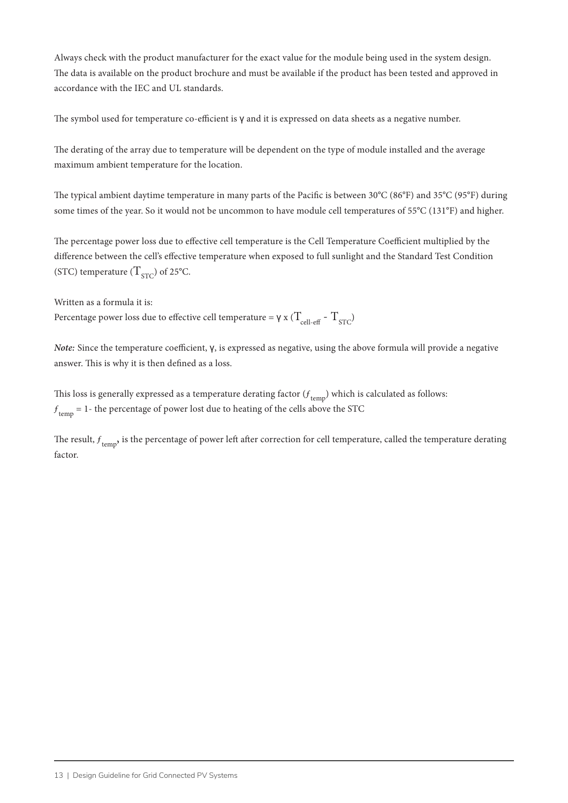Always check with the product manufacturer for the exact value for the module being used in the system design. The data is available on the product brochure and must be available if the product has been tested and approved in accordance with the IEC and UL standards.

The symbol used for temperature co-efficient is γ and it is expressed on data sheets as a negative number.

The derating of the array due to temperature will be dependent on the type of module installed and the average maximum ambient temperature for the location.

The typical ambient daytime temperature in many parts of the Pacific is between 30°C (86°F) and 35°C (95°F) during some times of the year. So it would not be uncommon to have module cell temperatures of 55°C (131°F) and higher.

The percentage power loss due to effective cell temperature is the Cell Temperature Coefficient multiplied by the difference between the cell's effective temperature when exposed to full sunlight and the Standard Test Condition (STC) temperature  $(T_{STC})$  of 25°C.

Written as a formula it is: Percentage power loss due to effective cell temperature =  $\gamma$  x ( $T_{\text{coll-eff}}$  -  $T_{\text{STC}}$ )

*Note:* Since the temperature coefficient, γ, is expressed as negative, using the above formula will provide a negative answer. This is why it is then defined as a loss.

This loss is generally expressed as a temperature derating factor  $(f_{\rm temp})$  which is calculated as follows:  $f_{temp} = 1$ - the percentage of power lost due to heating of the cells above the STC

The result,  $f_{temp}$ , is the percentage of power left after correction for cell temperature, called the temperature derating factor.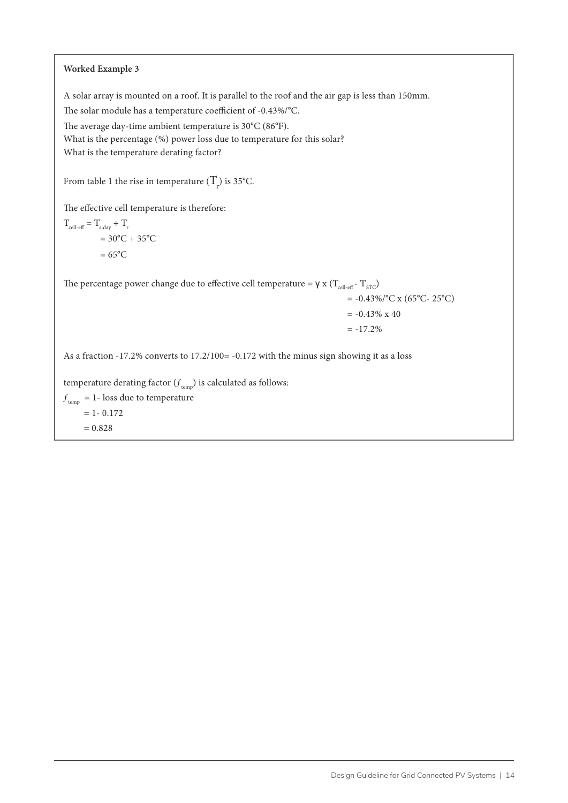#### **Worked Example 3**

A solar array is mounted on a roof. It is parallel to the roof and the air gap is less than 150mm.

The solar module has a temperature coefficient of -0.43%/°C.

The average day-time ambient temperature is 30°C (86°F).

What is the percentage (%) power loss due to temperature for this solar?

What is the temperature derating factor?

From table 1 the rise in temperature  $(T_{\rm r})$  is 35°C.

The effective cell temperature is therefore:

 $T_{cell\text{-eff}} = T_{a\text{-day}} + T_{r}$  $= 30^{\circ}$ C + 35 $^{\circ}$ C  $= 65^{\circ}$ C

The percentage power change due to effective cell temperature =  $\gamma$  x ( $T_{cell\text{-eff}}$  -  $T_{STC}$ )

$$
= -0.43\%/^{\circ}C \times (65^{\circ}C - 25^{\circ}C)
$$

$$
= -0.43\% \times 40
$$

 $= -17.2%$ 

As a fraction -17.2% converts to 17.2/100= -0.172 with the minus sign showing it as a loss

temperature derating factor  $(\boldsymbol{f}_{\rm temp})$  is calculated as follows:

 $f_{temp} = 1$ - loss due to temperature

 $= 1 - 0.172$ 

 $= 0.828$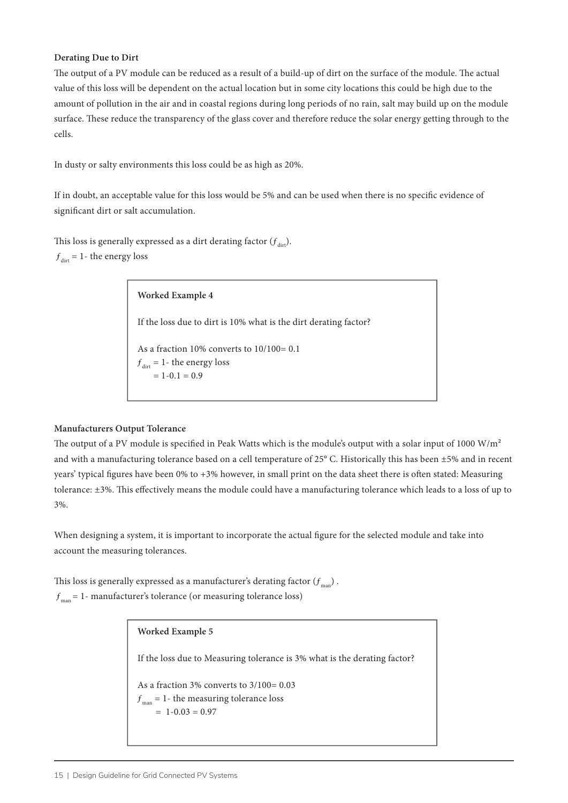#### **Derating Due to Dirt**

The output of a PV module can be reduced as a result of a build-up of dirt on the surface of the module. The actual value of this loss will be dependent on the actual location but in some city locations this could be high due to the amount of pollution in the air and in coastal regions during long periods of no rain, salt may build up on the module surface. These reduce the transparency of the glass cover and therefore reduce the solar energy getting through to the cells.

In dusty or salty environments this loss could be as high as 20%.

If in doubt, an acceptable value for this loss would be 5% and can be used when there is no specific evidence of significant dirt or salt accumulation.

This loss is generally expressed as a dirt derating factor  $(f_{\text{dir}})$ .  $f_{\text{dirt}} = 1$ - the energy loss

> **Worked Example 4** If the loss due to dirt is 10% what is the dirt derating factor? As a fraction 10% converts to 10/100= 0.1  $f_{\text{dirt}} = 1$ - the energy loss  $= 1-0.1 = 0.9$

#### **Manufacturers Output Tolerance**

The output of a PV module is specified in Peak Watts which is the module's output with a solar input of 1000 W/ $m<sup>2</sup>$ and with a manufacturing tolerance based on a cell temperature of 25° C. Historically this has been ±5% and in recent years' typical figures have been 0% to +3% however, in small print on the data sheet there is often stated: Measuring tolerance: ±3%. This effectively means the module could have a manufacturing tolerance which leads to a loss of up to 3%.

When designing a system, it is important to incorporate the actual figure for the selected module and take into account the measuring tolerances.

This loss is generally expressed as a manufacturer's derating factor  $(f_{mn})$ .  $f_{\text{man}} = 1$ - manufacturer's tolerance (or measuring tolerance loss)

> **Worked Example 5** If the loss due to Measuring tolerance is 3% what is the derating factor? As a fraction 3% converts to 3/100= 0.03  $f_{\text{man}} = 1$ - the measuring tolerance loss  $= 1 - 0.03 = 0.97$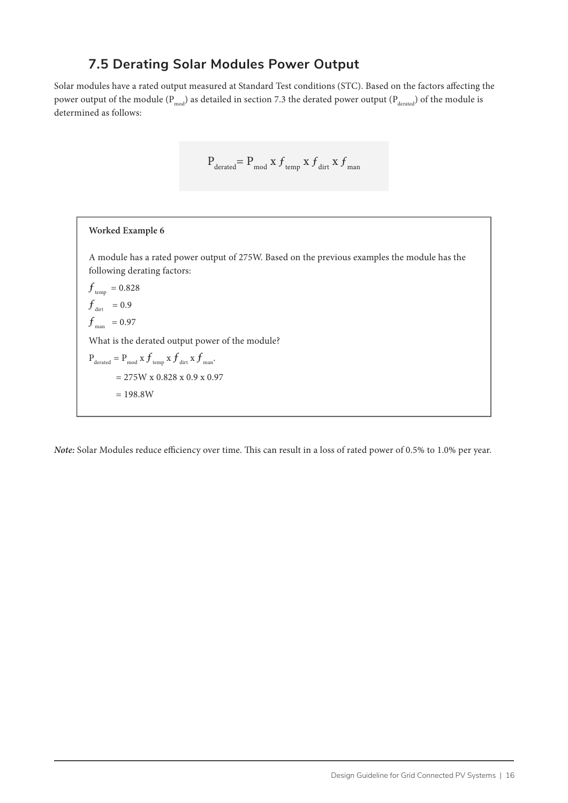### **7.5 Derating Solar Modules Power Output**

Solar modules have a rated output measured at Standard Test conditions (STC). Based on the factors affecting the power output of the module ( $P_{mod}$ ) as detailed in section 7.3 the derated power output ( $P_{d$ erated}) of the module is determined as follows:

$$
\mathbf{P}_{\text{derated}}\mathbf{=}\mathbf{P}_{\text{mod}}\,\mathbf{x}\,f_{\text{ temp}}\,\mathbf{x}\,f_{\text{ dirt}}\,\mathbf{x}\,f_{\text{ man}}
$$

# **Worked Example 6** A module has a rated power output of 275W. Based on the previous examples the module has the following derating factors:  $f$ <sub>temp</sub> = 0.828  $f_{\text{dirt}}$  = 0.9  $f_{\text{man}}$  = 0.97 What is the derated output power of the module?  $P_{\text{derated}} = P_{\text{mod}} x f_{\text{temp}} x f_{\text{diff}} x f_{\text{man}}.$  $= 275W \times 0.828 \times 0.9 \times 0.97$  $= 198.8W$

*Note:* Solar Modules reduce efficiency over time. This can result in a loss of rated power of 0.5% to 1.0% per year.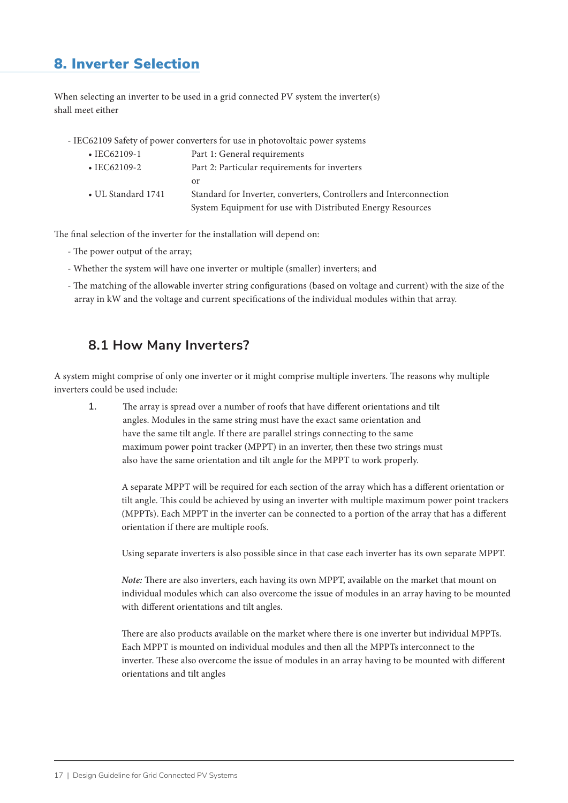# 8. Inverter Selection

When selecting an inverter to be used in a grid connected PV system the inverter(s) shall meet either

- IEC62109 Safety of power converters for use in photovoltaic power systems

| $\cdot$ IEC62109-1 | Part 1: General requirements                                                                                                     |
|--------------------|----------------------------------------------------------------------------------------------------------------------------------|
| $\cdot$ IEC62109-2 | Part 2: Particular requirements for inverters                                                                                    |
|                    | or                                                                                                                               |
| • UL Standard 1741 | Standard for Inverter, converters, Controllers and Interconnection<br>System Equipment for use with Distributed Energy Resources |

The final selection of the inverter for the installation will depend on:

- The power output of the array;
- Whether the system will have one inverter or multiple (smaller) inverters; and
- The matching of the allowable inverter string configurations (based on voltage and current) with the size of the array in kW and the voltage and current specifications of the individual modules within that array.

### **8.1 How Many Inverters?**

A system might comprise of only one inverter or it might comprise multiple inverters. The reasons why multiple inverters could be used include:

**1.** The array is spread over a number of roofs that have different orientations and tilt angles. Modules in the same string must have the exact same orientation and have the same tilt angle. If there are parallel strings connecting to the same maximum power point tracker (MPPT) in an inverter, then these two strings must also have the same orientation and tilt angle for the MPPT to work properly.

A separate MPPT will be required for each section of the array which has a different orientation or tilt angle. This could be achieved by using an inverter with multiple maximum power point trackers (MPPTs). Each MPPT in the inverter can be connected to a portion of the array that has a different orientation if there are multiple roofs.

Using separate inverters is also possible since in that case each inverter has its own separate MPPT.

*Note:* There are also inverters, each having its own MPPT, available on the market that mount on individual modules which can also overcome the issue of modules in an array having to be mounted with different orientations and tilt angles.

There are also products available on the market where there is one inverter but individual MPPTs. Each MPPT is mounted on individual modules and then all the MPPTs interconnect to the inverter. These also overcome the issue of modules in an array having to be mounted with different orientations and tilt angles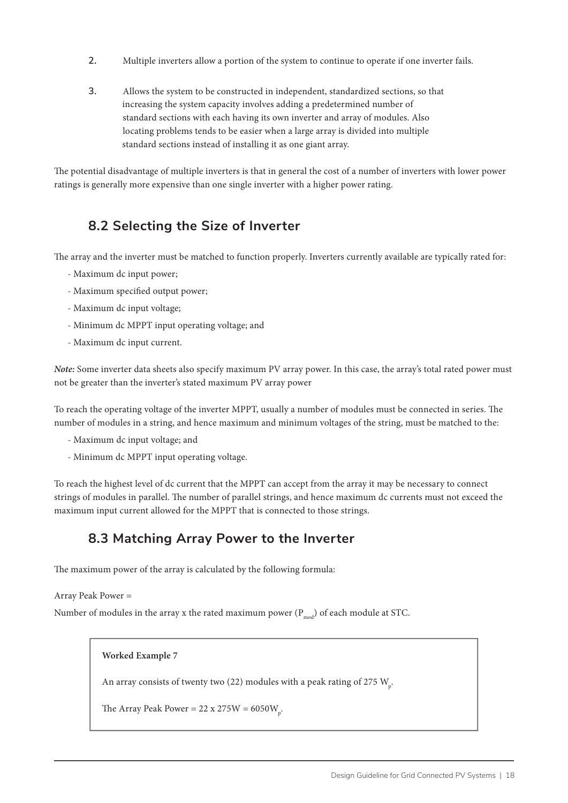- **2.** Multiple inverters allow a portion of the system to continue to operate if one inverter fails.
- **3.** Allows the system to be constructed in independent, standardized sections, so that increasing the system capacity involves adding a predetermined number of standard sections with each having its own inverter and array of modules. Also locating problems tends to be easier when a large array is divided into multiple standard sections instead of installing it as one giant array.

The potential disadvantage of multiple inverters is that in general the cost of a number of inverters with lower power ratings is generally more expensive than one single inverter with a higher power rating.

# **8.2 Selecting the Size of Inverter**

The array and the inverter must be matched to function properly. Inverters currently available are typically rated for:

- Maximum dc input power;
- Maximum specified output power;
- Maximum dc input voltage;
- Minimum dc MPPT input operating voltage; and
- Maximum dc input current.

*Note:* Some inverter data sheets also specify maximum PV array power. In this case, the array's total rated power must not be greater than the inverter's stated maximum PV array power

To reach the operating voltage of the inverter MPPT, usually a number of modules must be connected in series. The number of modules in a string, and hence maximum and minimum voltages of the string, must be matched to the:

- Maximum dc input voltage; and
- Minimum dc MPPT input operating voltage.

To reach the highest level of dc current that the MPPT can accept from the array it may be necessary to connect strings of modules in parallel. The number of parallel strings, and hence maximum dc currents must not exceed the maximum input current allowed for the MPPT that is connected to those strings.

### **8.3 Matching Array Power to the Inverter**

The maximum power of the array is calculated by the following formula:

```
Array Peak Power =
```
Number of modules in the array x the rated maximum power  $(P_{mod})$  of each module at STC.

```
Worked Example 7
An array consists of twenty two (22) modules with a peak rating of 275 \rm W_p.The Array Peak Power = 22 x 275W = 6050W_{p}.
```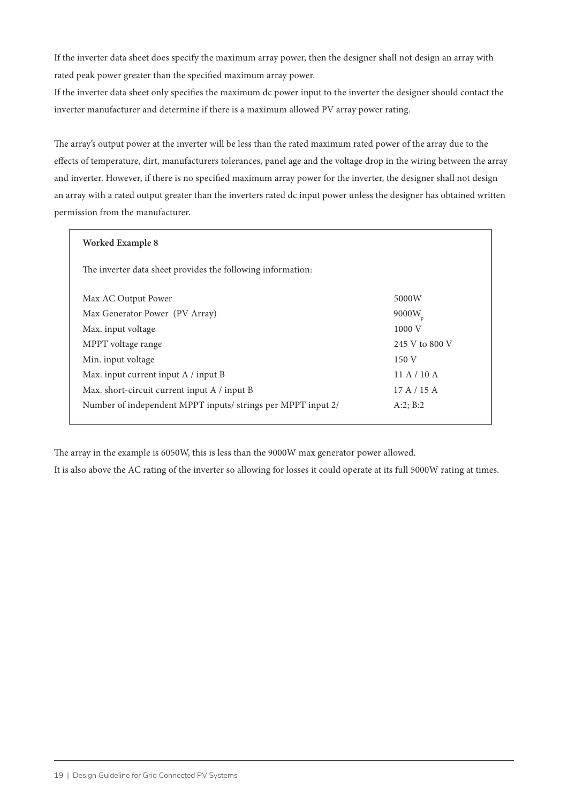If the inverter data sheet does specify the maximum array power, then the designer shall not design an array with rated peak power greater than the specified maximum array power.

If the inverter data sheet only specifies the maximum dc power input to the inverter the designer should contact the inverter manufacturer and determine if there is a maximum allowed PV array power rating.

The array's output power at the inverter will be less than the rated maximum rated power of the array due to the effects of temperature, dirt, manufacturers tolerances, panel age and the voltage drop in the wiring between the array and inverter. However, if there is no specified maximum array power for the inverter, the designer shall not design an array with a rated output greater than the inverters rated dc input power unless the designer has obtained written permission from the manufacturer.

| Worked Example 8                                            |                |
|-------------------------------------------------------------|----------------|
| The inverter data sheet provides the following information: |                |
| Max AC Output Power                                         | 5000W          |
| Max Generator Power (PV Array)                              | 9000W          |
| Max. input voltage                                          | 1000 V         |
| MPPT voltage range                                          | 245 V to 800 V |
| Min. input voltage                                          | 150V           |
| Max. input current input A / input B                        | 11A/10A        |
| Max. short-circuit current input A / input B                | 17A/15A        |
| Number of independent MPPT inputs/strings per MPPT input 2/ | A:2; B:2       |
|                                                             |                |

The array in the example is 6050W, this is less than the 9000W max generator power allowed.

It is also above the AC rating of the inverter so allowing for losses it could operate at its full 5000W rating at times.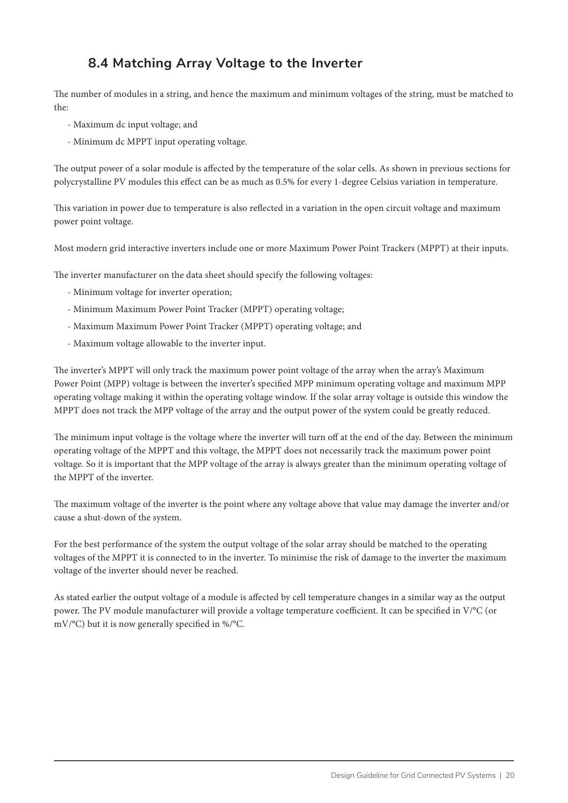# **8.4 Matching Array Voltage to the Inverter**

The number of modules in a string, and hence the maximum and minimum voltages of the string, must be matched to the:

- Maximum dc input voltage; and
- Minimum dc MPPT input operating voltage.

The output power of a solar module is affected by the temperature of the solar cells. As shown in previous sections for polycrystalline PV modules this effect can be as much as 0.5% for every 1-degree Celsius variation in temperature.

This variation in power due to temperature is also reflected in a variation in the open circuit voltage and maximum power point voltage.

Most modern grid interactive inverters include one or more Maximum Power Point Trackers (MPPT) at their inputs.

The inverter manufacturer on the data sheet should specify the following voltages:

- Minimum voltage for inverter operation;
- Minimum Maximum Power Point Tracker (MPPT) operating voltage;
- Maximum Maximum Power Point Tracker (MPPT) operating voltage; and
- Maximum voltage allowable to the inverter input.

The inverter's MPPT will only track the maximum power point voltage of the array when the array's Maximum Power Point (MPP) voltage is between the inverter's specified MPP minimum operating voltage and maximum MPP operating voltage making it within the operating voltage window. If the solar array voltage is outside this window the MPPT does not track the MPP voltage of the array and the output power of the system could be greatly reduced.

The minimum input voltage is the voltage where the inverter will turn off at the end of the day. Between the minimum operating voltage of the MPPT and this voltage, the MPPT does not necessarily track the maximum power point voltage. So it is important that the MPP voltage of the array is always greater than the minimum operating voltage of the MPPT of the inverter.

The maximum voltage of the inverter is the point where any voltage above that value may damage the inverter and/or cause a shut-down of the system.

For the best performance of the system the output voltage of the solar array should be matched to the operating voltages of the MPPT it is connected to in the inverter. To minimise the risk of damage to the inverter the maximum voltage of the inverter should never be reached.

As stated earlier the output voltage of a module is affected by cell temperature changes in a similar way as the output power. The PV module manufacturer will provide a voltage temperature coefficient. It can be specified in V/°C (or mV/°C) but it is now generally specified in %/°C.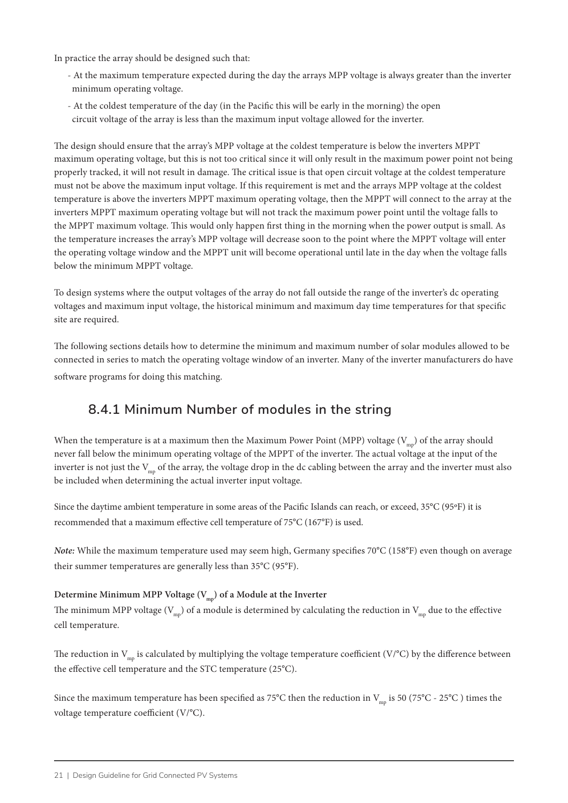In practice the array should be designed such that:

- At the maximum temperature expected during the day the arrays MPP voltage is always greater than the inverter minimum operating voltage.
- At the coldest temperature of the day (in the Pacific this will be early in the morning) the open circuit voltage of the array is less than the maximum input voltage allowed for the inverter.

The design should ensure that the array's MPP voltage at the coldest temperature is below the inverters MPPT maximum operating voltage, but this is not too critical since it will only result in the maximum power point not being properly tracked, it will not result in damage. The critical issue is that open circuit voltage at the coldest temperature must not be above the maximum input voltage. If this requirement is met and the arrays MPP voltage at the coldest temperature is above the inverters MPPT maximum operating voltage, then the MPPT will connect to the array at the inverters MPPT maximum operating voltage but will not track the maximum power point until the voltage falls to the MPPT maximum voltage. This would only happen first thing in the morning when the power output is small. As the temperature increases the array's MPP voltage will decrease soon to the point where the MPPT voltage will enter the operating voltage window and the MPPT unit will become operational until late in the day when the voltage falls below the minimum MPPT voltage.

To design systems where the output voltages of the array do not fall outside the range of the inverter's dc operating voltages and maximum input voltage, the historical minimum and maximum day time temperatures for that specific site are required.

The following sections details how to determine the minimum and maximum number of solar modules allowed to be connected in series to match the operating voltage window of an inverter. Many of the inverter manufacturers do have software programs for doing this matching.

### **8.4.1 Minimum Number of modules in the string**

When the temperature is at a maximum then the Maximum Power Point (MPP) voltage ( $V_{\text{mp}}$ ) of the array should never fall below the minimum operating voltage of the MPPT of the inverter. The actual voltage at the input of the inverter is not just the  $V_{mn}$  of the array, the voltage drop in the dc cabling between the array and the inverter must also be included when determining the actual inverter input voltage.

Since the daytime ambient temperature in some areas of the Pacific Islands can reach, or exceed, 35°C (95ºF) it is recommended that a maximum effective cell temperature of 75°C (167°F) is used.

*Note:* While the maximum temperature used may seem high, Germany specifies 70°C (158°F) even though on average their summer temperatures are generally less than 35°C (95°F).

#### Determine Minimum MPP Voltage (V<sub>mp</sub>) of a Module at the Inverter

The minimum MPP voltage ( $V_{mn}$ ) of a module is determined by calculating the reduction in  $V_{mn}$  due to the effective cell temperature.

The reduction in  $V_{mn}$  is calculated by multiplying the voltage temperature coefficient (V/°C) by the difference between the effective cell temperature and the STC temperature (25°C).

Since the maximum temperature has been specified as 75°C then the reduction in  $V_{mn}$  is 50 (75°C - 25°C) times the voltage temperature coefficient (V/°C).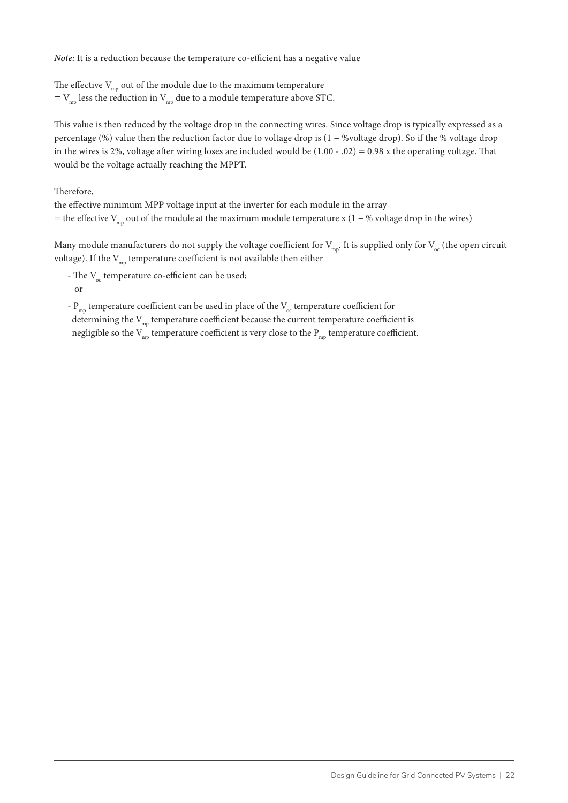#### *Note:* It is a reduction because the temperature co-efficient has a negative value

The effective  $V_{mp}$  out of the module due to the maximum temperature  $=$  V<sub>mp</sub> less the reduction in V<sub>mp</sub> due to a module temperature above STC.

This value is then reduced by the voltage drop in the connecting wires. Since voltage drop is typically expressed as a percentage (%) value then the reduction factor due to voltage drop is (1 − %voltage drop). So if the % voltage drop in the wires is 2%, voltage after wiring loses are included would be  $(1.00 - .02) = 0.98$  x the operating voltage. That would be the voltage actually reaching the MPPT.

#### Therefore,

the effective minimum MPP voltage input at the inverter for each module in the array = the effective V<sub>mp</sub> out of the module at the maximum module temperature x (1 – % voltage drop in the wires)

Many module manufacturers do not supply the voltage coefficient for  $V_{mn}$ . It is supplied only for  $V_{\alpha}$  (the open circuit voltage). If the  $V_{mn}$  temperature coefficient is not available then either

- The  $V_{\alpha}$  temperature co-efficient can be used; or
- $P_{mn}$  temperature coefficient can be used in place of the  $V_{oc}$  temperature coefficient for determining the  $V_{mn}$  temperature coefficient because the current temperature coefficient is negligible so the  $V_{mp}$  temperature coefficient is very close to the  $P_{mp}$  temperature coefficient.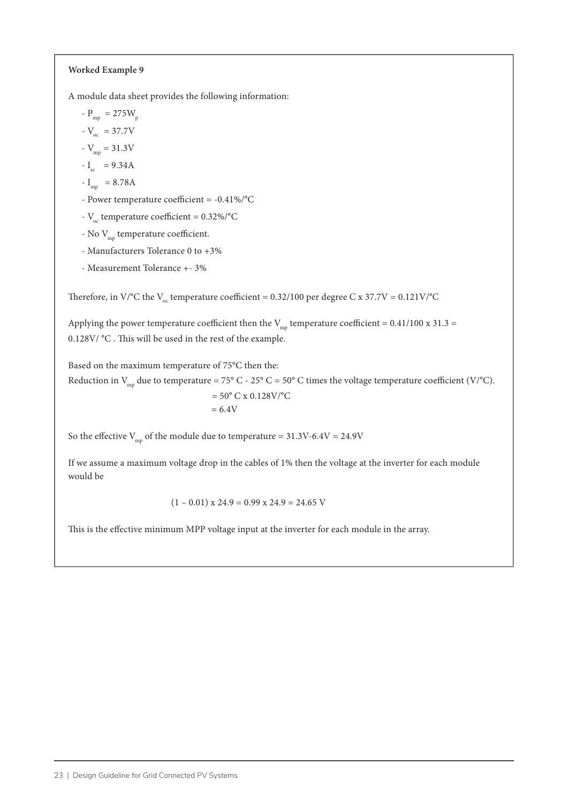#### **Worked Example 9**

A module data sheet provides the following information:

- 
$$
P_{mp} = 275W_p
$$

$$
V_{\rm oc} = 37.7 \text{V}
$$

$$
V_{\rm mp} = 31.3 \text{V}
$$

$$
-I_{\rm sc} = 9.34A
$$

$$
I_{\rm mp} = 8.78
$$

- Power temperature coefficient = -0.41%/°C

-  $V_{\text{oc}}$  temperature coefficient = 0.32%/°C

- No $\rm V_{\rm mp}$  temperature coefficient.
- Manufacturers Tolerance 0 to +3%
- Measurement Tolerance +- 3%

Therefore, in V/°C the V<sub>oc</sub> temperature coefficient = 0.32/100 per degree C x 37.7V = 0.121V/°C

Applying the power temperature coefficient then the  $V_{mp}$  temperature coefficient = 0.41/100 x 31.3 = 0.128V/ °C . This will be used in the rest of the example.

Based on the maximum temperature of 75°C then the:

Reduction in  $V_{mp}$  due to temperature = 75° C - 25° C = 50° C times the voltage temperature coefficient (V/°C).  $= 50^{\circ}$  C x 0.128V/ $^{\circ}$ C  $= 6.4V$ 

So the effective  $V_{\text{mp}}$  of the module due to temperature = 31.3V-6.4V = 24.9V

If we assume a maximum voltage drop in the cables of 1% then the voltage at the inverter for each module would be

$$
(1 - 0.01) \times 24.9 = 0.99 \times 24.9 = 24.65 \text{ V}
$$

This is the effective minimum MPP voltage input at the inverter for each module in the array.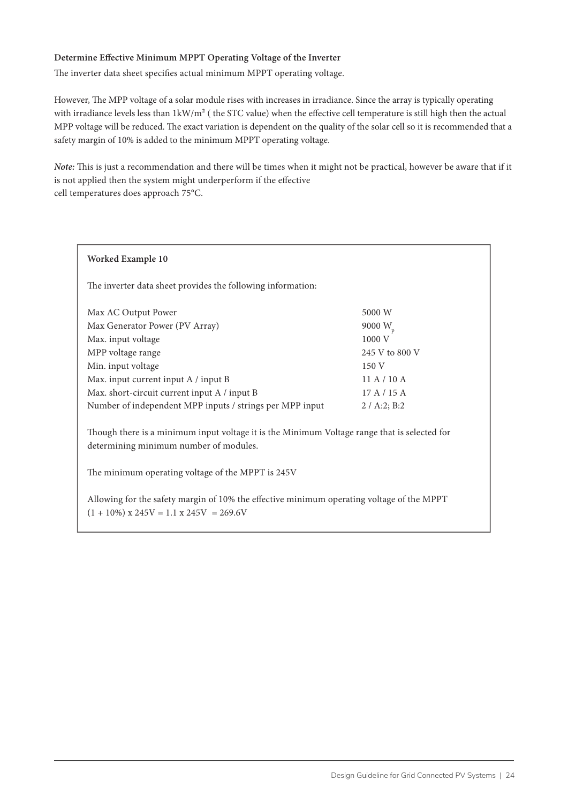#### **Determine Effective Minimum MPPT Operating Voltage of the Inverter**

The inverter data sheet specifies actual minimum MPPT operating voltage.

However, The MPP voltage of a solar module rises with increases in irradiance. Since the array is typically operating with irradiance levels less than 1kW/m² ( the STC value) when the effective cell temperature is still high then the actual MPP voltage will be reduced. The exact variation is dependent on the quality of the solar cell so it is recommended that a safety margin of 10% is added to the minimum MPPT operating voltage.

*Note:* This is just a recommendation and there will be times when it might not be practical, however be aware that if it is not applied then the system might underperform if the effective cell temperatures does approach 75°C.

#### **Worked Example 10**

The inverter data sheet provides the following information:

| Max AC Output Power                                      | 5000 W         |
|----------------------------------------------------------|----------------|
| Max Generator Power (PV Array)                           | 9000 $W_{n}$   |
| Max. input voltage                                       | 1000 V         |
| MPP voltage range                                        | 245 V to 800 V |
| Min. input voltage                                       | 150V           |
| Max. input current input A / input B                     | 11A/10A        |
| Max. short-circuit current input A / input B             | 17A/15A        |
| Number of independent MPP inputs / strings per MPP input | 2 / A:2; B:2   |

Though there is a minimum input voltage it is the Minimum Voltage range that is selected for determining minimum number of modules.

The minimum operating voltage of the MPPT is 245V

Allowing for the safety margin of 10% the effective minimum operating voltage of the MPPT  $(1 + 10\%)$  x 245V = 1.1 x 245V = 269.6V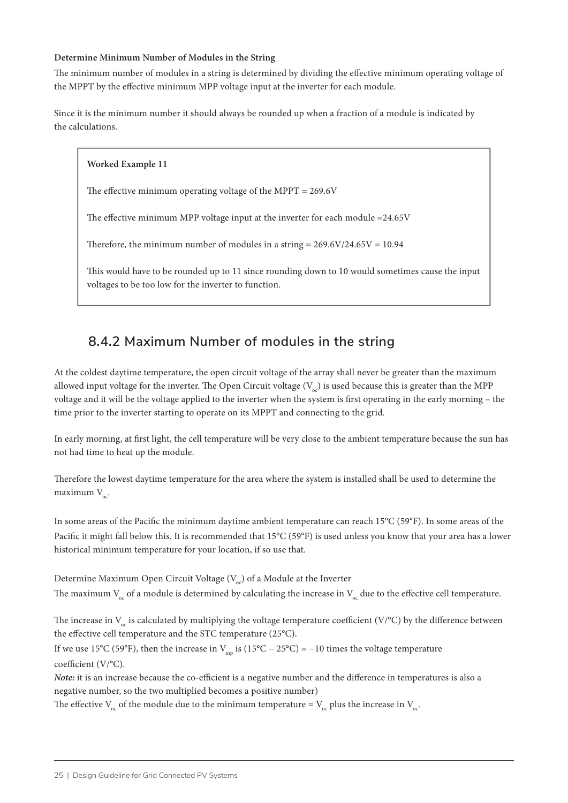#### **Determine Minimum Number of Modules in the String**

**Worked Example 11**

The minimum number of modules in a string is determined by dividing the effective minimum operating voltage of the MPPT by the effective minimum MPP voltage input at the inverter for each module.

Since it is the minimum number it should always be rounded up when a fraction of a module is indicated by the calculations.

### The effective minimum operating voltage of the MPPT = 269.6V

The effective minimum MPP voltage input at the inverter for each module =24.65V

Therefore, the minimum number of modules in a string =  $269.6V/24.65V = 10.94$ 

This would have to be rounded up to 11 since rounding down to 10 would sometimes cause the input voltages to be too low for the inverter to function.

### **8.4.2 Maximum Number of modules in the string**

At the coldest daytime temperature, the open circuit voltage of the array shall never be greater than the maximum allowed input voltage for the inverter. The Open Circuit voltage  $(V_{\alpha})$  is used because this is greater than the MPP voltage and it will be the voltage applied to the inverter when the system is first operating in the early morning – the time prior to the inverter starting to operate on its MPPT and connecting to the grid.

In early morning, at first light, the cell temperature will be very close to the ambient temperature because the sun has not had time to heat up the module.

Therefore the lowest daytime temperature for the area where the system is installed shall be used to determine the maximum  $V_{\ldots}$ 

In some areas of the Pacific the minimum daytime ambient temperature can reach 15°C (59°F). In some areas of the Pacific it might fall below this. It is recommended that 15°C (59°F) is used unless you know that your area has a lower historical minimum temperature for your location, if so use that.

Determine Maximum Open Circuit Voltage  $(V_{\infty})$  of a Module at the Inverter The maximum  $V_{oc}$  of a module is determined by calculating the increase in  $V_{oc}$  due to the effective cell temperature.

The increase in  $V_{oc}$  is calculated by multiplying the voltage temperature coefficient (V/°C) by the difference between the effective cell temperature and the STC temperature (25°C).

If we use 15°C (59°F), then the increase in  $V_{mn}$  is (15°C – 25°C) = −10 times the voltage temperature coefficient (V/°C).

*Note:* it is an increase because the co-efficient is a negative number and the difference in temperatures is also a negative number, so the two multiplied becomes a positive number)

The effective  $V_{\infty}$  of the module due to the minimum temperature =  $V_{\infty}$  plus the increase in  $V_{\infty}$ .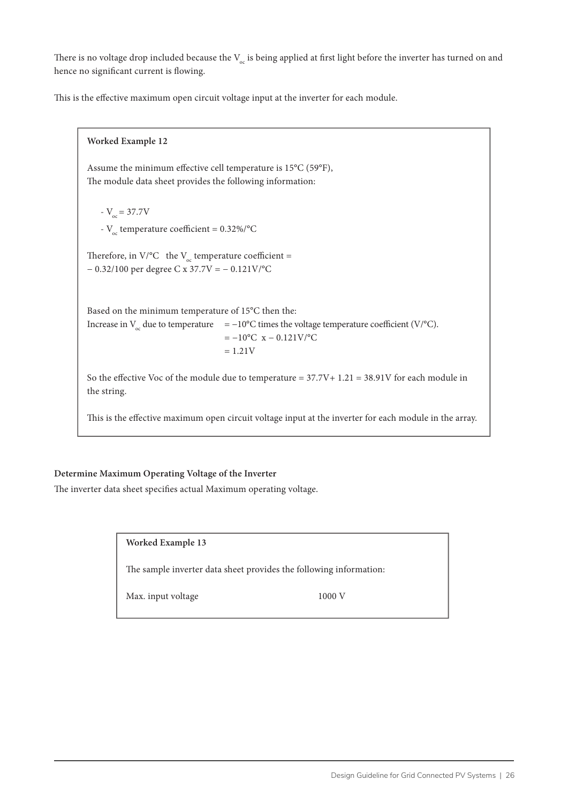There is no voltage drop included because the  $V_{\alpha}$  is being applied at first light before the inverter has turned on and hence no significant current is flowing.

This is the effective maximum open circuit voltage input at the inverter for each module.

**Worked Example 12** Assume the minimum effective cell temperature is 15°C (59°F), The module data sheet provides the following information:  $-V_{\rm oc}$  = 37.7V -  $V_{\text{oc}}$  temperature coefficient = 0.32%/°C Therefore, in V/ $^{\circ}$ C the V<sub>oc</sub> temperature coefficient = − 0.32/100 per degree C x 37.7V = − 0.121V/°C Based on the minimum temperature of 15°C then the: Increase in  $V_c$  due to temperature = −10°C times the voltage temperature coefficient (V/°C).  $= -10$ °C x – 0.121V/°C  $= 1.21V$ So the effective Voc of the module due to temperature = 37.7V+ 1.21 = 38.91V for each module in the string. This is the effective maximum open circuit voltage input at the inverter for each module in the array.

#### **Determine Maximum Operating Voltage of the Inverter**

The inverter data sheet specifies actual Maximum operating voltage.

**Worked Example 13**

The sample inverter data sheet provides the following information:

Max. input voltage 1000 V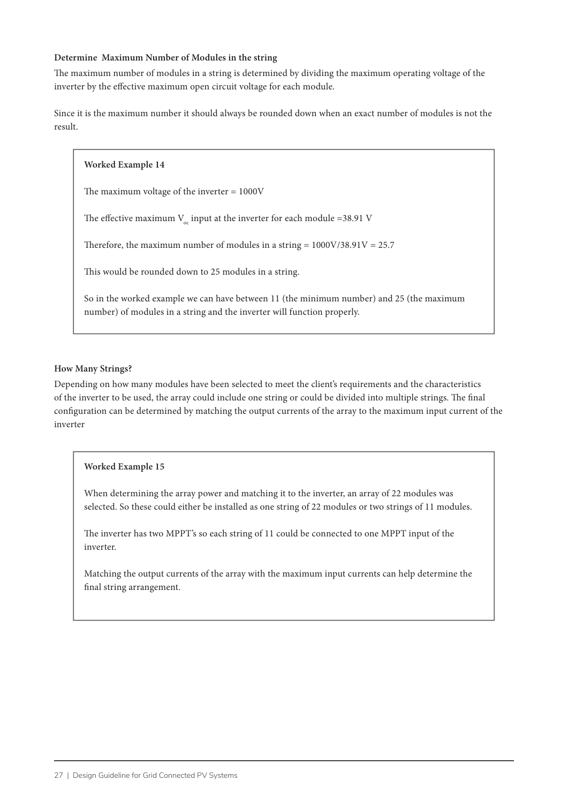#### **Determine Maximum Number of Modules in the string**

The maximum number of modules in a string is determined by dividing the maximum operating voltage of the inverter by the effective maximum open circuit voltage for each module.

Since it is the maximum number it should always be rounded down when an exact number of modules is not the result.

#### **Worked Example 14**

The maximum voltage of the inverter = 1000V

The effective maximum  $V_{oc}$  input at the inverter for each module =38.91 V

Therefore, the maximum number of modules in a string =  $1000V/38.91V = 25.7$ 

This would be rounded down to 25 modules in a string.

So in the worked example we can have between 11 (the minimum number) and 25 (the maximum number) of modules in a string and the inverter will function properly.

#### **How Many Strings?**

Depending on how many modules have been selected to meet the client's requirements and the characteristics of the inverter to be used, the array could include one string or could be divided into multiple strings. The final configuration can be determined by matching the output currents of the array to the maximum input current of the inverter

#### **Worked Example 15**

When determining the array power and matching it to the inverter, an array of 22 modules was selected. So these could either be installed as one string of 22 modules or two strings of 11 modules.

The inverter has two MPPT's so each string of 11 could be connected to one MPPT input of the inverter.

Matching the output currents of the array with the maximum input currents can help determine the final string arrangement.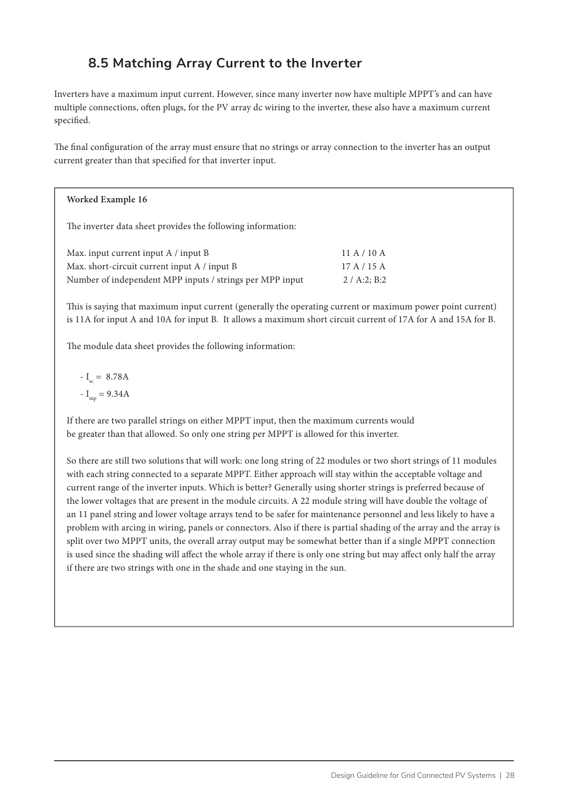# **8.5 Matching Array Current to the Inverter**

Inverters have a maximum input current. However, since many inverter now have multiple MPPT's and can have multiple connections, often plugs, for the PV array dc wiring to the inverter, these also have a maximum current specified.

The final configuration of the array must ensure that no strings or array connection to the inverter has an output current greater than that specified for that inverter input.

#### **Worked Example 16**

The inverter data sheet provides the following information:

| Max. input current input A / input B                     | 11 A / 10 A  |
|----------------------------------------------------------|--------------|
| Max. short-circuit current input A / input B             | 17 A / 15 A  |
| Number of independent MPP inputs / strings per MPP input | 2 / A:2: B:2 |

This is saying that maximum input current (generally the operating current or maximum power point current) is 11A for input A and 10A for input B. It allows a maximum short circuit current of 17A for A and 15A for B.

The module data sheet provides the following information:

 $-I_{\rm sc} = 8.78A$  $-I_{\text{rms}} = 9.34A$ 

If there are two parallel strings on either MPPT input, then the maximum currents would be greater than that allowed. So only one string per MPPT is allowed for this inverter.

So there are still two solutions that will work: one long string of 22 modules or two short strings of 11 modules with each string connected to a separate MPPT. Either approach will stay within the acceptable voltage and current range of the inverter inputs. Which is better? Generally using shorter strings is preferred because of the lower voltages that are present in the module circuits. A 22 module string will have double the voltage of an 11 panel string and lower voltage arrays tend to be safer for maintenance personnel and less likely to have a problem with arcing in wiring, panels or connectors. Also if there is partial shading of the array and the array is split over two MPPT units, the overall array output may be somewhat better than if a single MPPT connection is used since the shading will affect the whole array if there is only one string but may affect only half the array if there are two strings with one in the shade and one staying in the sun.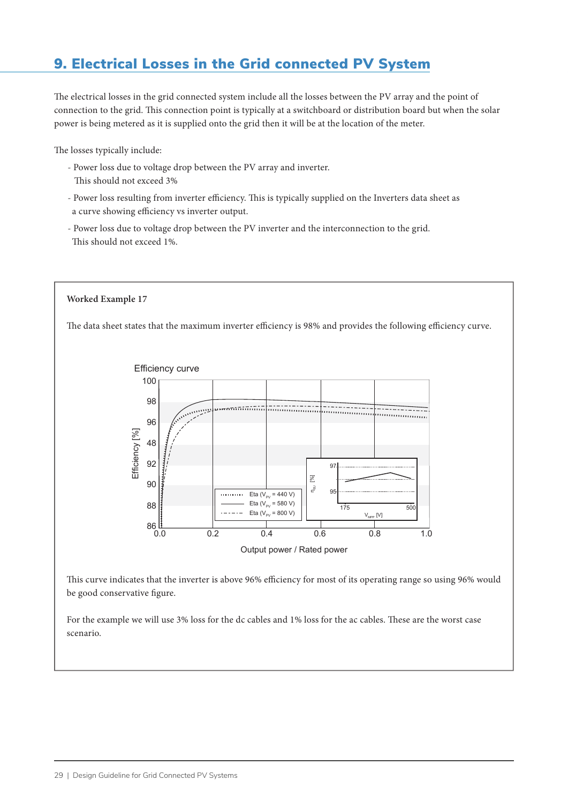# 9. Electrical Losses in the Grid connected PV System

The electrical losses in the grid connected system include all the losses between the PV array and the point of connection to the grid. This connection point is typically at a switchboard or distribution board but when the solar power is being metered as it is supplied onto the grid then it will be at the location of the meter.

The losses typically include:

- Power loss due to voltage drop between the PV array and inverter. This should not exceed 3%
- Power loss resulting from inverter efficiency. This is typically supplied on the Inverters data sheet as a curve showing efficiency vs inverter output.
- Power loss due to voltage drop between the PV inverter and the interconnection to the grid. This should not exceed 1%.

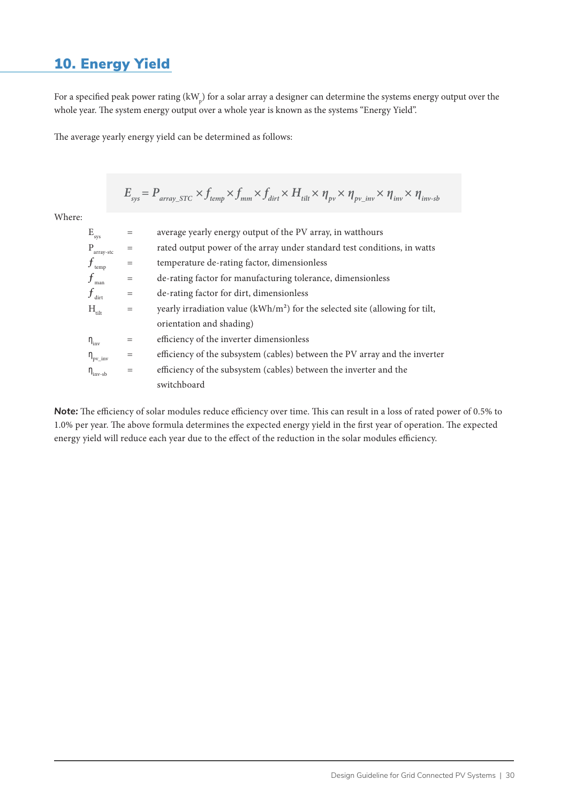# 10. Energy Yield

For a specified peak power rating (kW<sub>p</sub>) for a solar array a designer can determine the systems energy output over the whole year. The system energy output over a whole year is known as the systems "Energy Yield".

The average yearly energy yield can be determined as follows:

$$
E_{sys} = P_{array\_STC} \times f_{temp} \times f_{mm} \times f_{dit} \times H_{tilt} \times \eta_{pv} \times \eta_{pv\_inv} \times \eta_{inv} \times \eta_{inv-sb}
$$

Where:

| $\mathbf{E}_{\text{sys}}$ |                        |     | average yearly energy output of the PV array, in watthours                    |
|---------------------------|------------------------|-----|-------------------------------------------------------------------------------|
| P                         | array-stc              |     | rated output power of the array under standard test conditions, in watts      |
|                           | $f_{\rm temp}$         | $=$ | temperature de-rating factor, dimensionless                                   |
|                           | man                    | $=$ | de-rating factor for manufacturing tolerance, dimensionless                   |
|                           | $f_{\text{dirt}}$      | $=$ | de-rating factor for dirt, dimensionless                                      |
|                           | $H_{\text{tilt}}$      | $=$ | yearly irradiation value $(kWh/m2)$ for the selected site (allowing for tilt, |
|                           |                        |     | orientation and shading)                                                      |
| $\eta_{\rm inv}$          |                        | $=$ | efficiency of the inverter dimensionless                                      |
|                           | $\eta_{\rm pv\_inv}$   | $=$ | efficiency of the subsystem (cables) between the PV array and the inverter    |
|                           | $\eta_{\text{inv-sb}}$ | $=$ | efficiency of the subsystem (cables) between the inverter and the             |
|                           |                        |     | switchboard                                                                   |

*Note:* The efficiency of solar modules reduce efficiency over time. This can result in a loss of rated power of 0.5% to 1.0% per year. The above formula determines the expected energy yield in the first year of operation. The expected energy yield will reduce each year due to the effect of the reduction in the solar modules efficiency.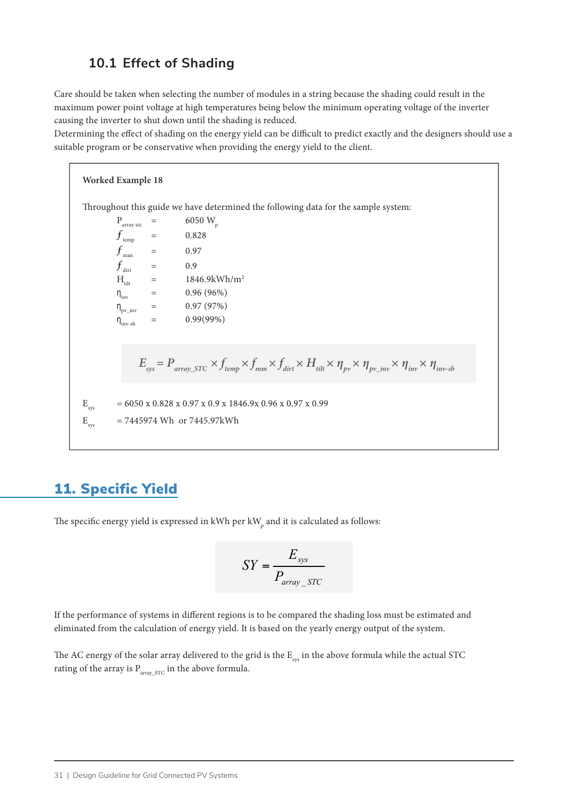### **10.1 Effect of Shading**

Care should be taken when selecting the number of modules in a string because the shading could result in the maximum power point voltage at high temperatures being below the minimum operating voltage of the inverter causing the inverter to shut down until the shading is reduced.

Determining the effect of shading on the energy yield can be difficult to predict exactly and the designers should use a suitable program or be conservative when providing the energy yield to the client.

**Worked Example 18** Throughout this guide we have determined the following data for the sample system:  $P_{\text{array-stc}} = 6050 \text{ W}_{\text{p}}$  $f_{\rm temp}$  = 0.828  $f_{\text{man}}$  = 0.97  $f$   $\hspace{1.6cm}$  = 0.9  $\hspace{1.6cm}$  $H_{\text{tilt}} = 1846.9 \text{kWh/m}^2$  $\eta_{\text{inv}}$  = 0.96 (96%)  $\eta_{\text{pv}} = 0.97 (97\%)$  $\eta_{\text{inv-sb}} = 0.99(99\%)$  $E_{sys}$  = 6050 x 0.828 x 0.97 x 0.9 x 1846.9x 0.96 x 0.97 x 0.99  $E_{\rm sys}$  = 7445974 Wh or 7445.97kWh  $E_{sys} = P_{array\_STC} \times f_{temp} \times f_{mm} \times f_{dit} \times H_{tilt} \times \eta_{pv} \times \eta_{pv\_inv} \times \eta_{inv} \times \eta_{inv-sb}$ 

# 11. Specific Yield

The specific energy yield is expressed in kWh per kW<sub>p</sub> and it is calculated as follows:

$$
SY = \frac{E_{sys}}{P_{array\_STC}}
$$

If the performance of systems in different regions is to be compared the shading loss must be estimated and eliminated from the calculation of energy yield. It is based on the yearly energy output of the system.

The AC energy of the solar array delivered to the grid is the  $E_{\text{sys}}$  in the above formula while the actual STC rating of the array is  $P_{array~STC}$  in the above formula.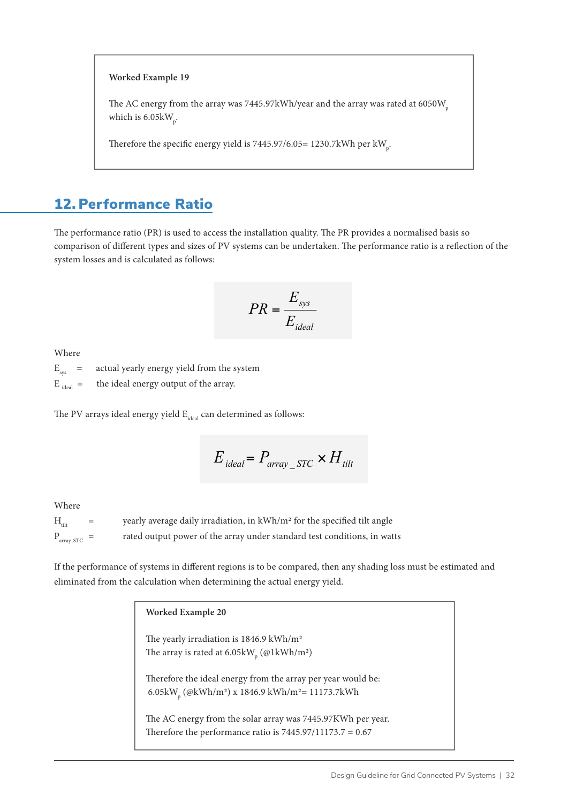#### **Worked Example 19**

The AC energy from the array was 7445.97kWh/year and the array was rated at 6050W<sub>p</sub> which is 6.05k $W_p$ .

Therefore the specific energy yield is 7445.97/6.05= 1230.7kWh per kW  $_{\rm p}$ .

### 12. Performance Ratio

The performance ratio (PR) is used to access the installation quality. The PR provides a normalised basis so comparison of different types and sizes of PV systems can be undertaken. The performance ratio is a reflection of the system losses and is calculated as follows:

$$
PR = \frac{E_{sys}}{E_{ideal}}
$$

Where

 $E_{sys}$  = actual yearly energy yield from the system

 $E_{ideal}$  = the ideal energy output of the array.

The PV arrays ideal energy yield  $E_{ideal}$  can determined as follows:

$$
E_{ideal} = P_{array\_STC} \times H_{tilt}
$$

Where

 $H_{\text{tilt}}$  = yearly average daily irradiation, in kWh/m<sup>2</sup> for the specified tilt angle  $P_{\text{array STC}}$  = rated output power of the array under standard test conditions, in watts

If the performance of systems in different regions is to be compared, then any shading loss must be estimated and eliminated from the calculation when determining the actual energy yield.

| Worked Example 20                                                                   |
|-------------------------------------------------------------------------------------|
| The yearly irradiation is 1846.9 kWh/m <sup>2</sup>                                 |
|                                                                                     |
| The array is rated at 6.05kW <sub>n</sub> (@1kWh/m <sup>2</sup> )                   |
| Therefore the ideal energy from the array per year would be:                        |
| 6.05kW <sub>n</sub> (@kWh/m <sup>2</sup> ) x 1846.9 kWh/m <sup>2</sup> = 11173.7kWh |
|                                                                                     |
| The AC energy from the solar array was 7445.97KWh per year.                         |
| Therefore the performance ratio is $7445.97/11173.7 = 0.67$                         |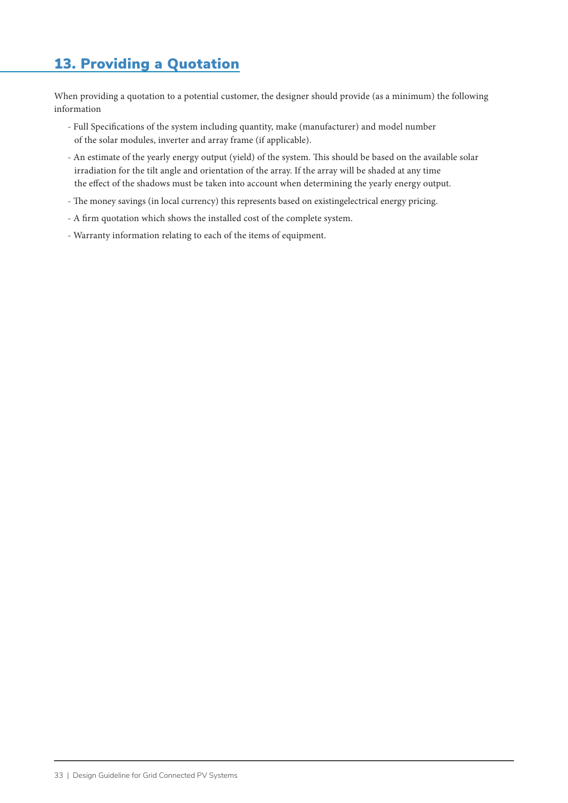# 13. Providing a Quotation

When providing a quotation to a potential customer, the designer should provide (as a minimum) the following information

- Full Specifications of the system including quantity, make (manufacturer) and model number of the solar modules, inverter and array frame (if applicable).
- An estimate of the yearly energy output (yield) of the system. This should be based on the available solar irradiation for the tilt angle and orientation of the array. If the array will be shaded at any time the effect of the shadows must be taken into account when determining the yearly energy output.
- The money savings (in local currency) this represents based on existingelectrical energy pricing.
- A firm quotation which shows the installed cost of the complete system.
- Warranty information relating to each of the items of equipment.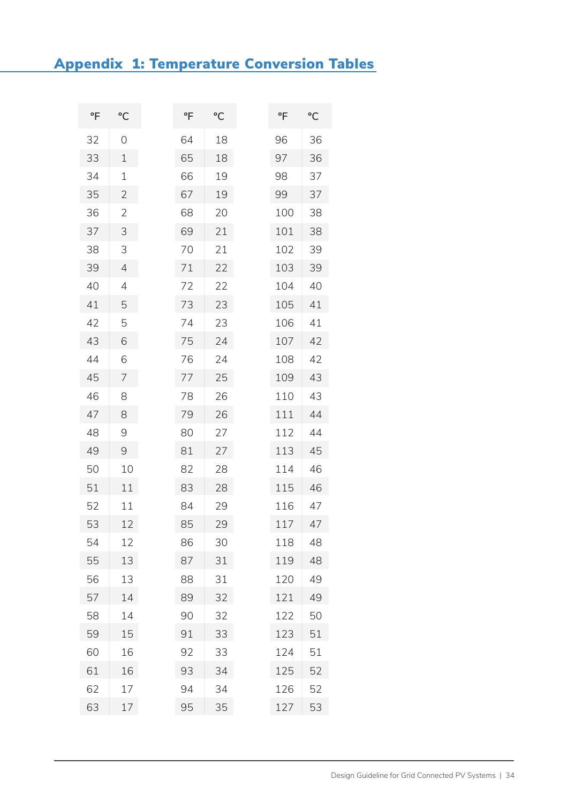# Appendix 1: Temperature Conversion Tables

| °F | °C             | °F | °C | °F  | °C |
|----|----------------|----|----|-----|----|
| 32 | 0              | 64 | 18 | 96  | 36 |
| 33 | 1              | 65 | 18 | 97  | 36 |
| 34 | 1              | 66 | 19 | 98  | 37 |
| 35 | $\overline{2}$ | 67 | 19 | 99  | 37 |
| 36 | $\overline{2}$ | 68 | 20 | 100 | 38 |
| 37 | 3              | 69 | 21 | 101 | 38 |
| 38 | 3              | 70 | 21 | 102 | 39 |
| 39 | $\overline{4}$ | 71 | 22 | 103 | 39 |
| 40 | 4              | 72 | 22 | 104 | 40 |
| 41 | 5              | 73 | 23 | 105 | 41 |
| 42 | 5              | 74 | 23 | 106 | 41 |
| 43 | 6              | 75 | 24 | 107 | 42 |
| 44 | 6              | 76 | 24 | 108 | 42 |
| 45 | 7              | 77 | 25 | 109 | 43 |
| 46 | 8              | 78 | 26 | 110 | 43 |
| 47 | 8              | 79 | 26 | 111 | 44 |
| 48 | $\Theta$       | 80 | 27 | 112 | 44 |
| 49 | 9              | 81 | 27 | 113 | 45 |
| 50 | 10             | 82 | 28 | 114 | 46 |
| 51 | 11             | 83 | 28 | 115 | 46 |
| 52 | 11             | 84 | 29 | 116 | 47 |
| 53 | 12             | 85 | 29 | 117 | 47 |
| 54 | 12             | 86 | 30 | 118 | 48 |
| 55 | 13             | 87 | 31 | 119 | 48 |
| 56 | 13             | 88 | 31 | 120 | 49 |
| 57 | 14             | 89 | 32 | 121 | 49 |
| 58 | 14             | 90 | 32 | 122 | 50 |
| 59 | 15             | 91 | 33 | 123 | 51 |
| 60 | 16             | 92 | 33 | 124 | 51 |
| 61 | 16             | 93 | 34 | 125 | 52 |
| 62 | 17             | 94 | 34 | 126 | 52 |
| 63 | 17             | 95 | 35 | 127 | 53 |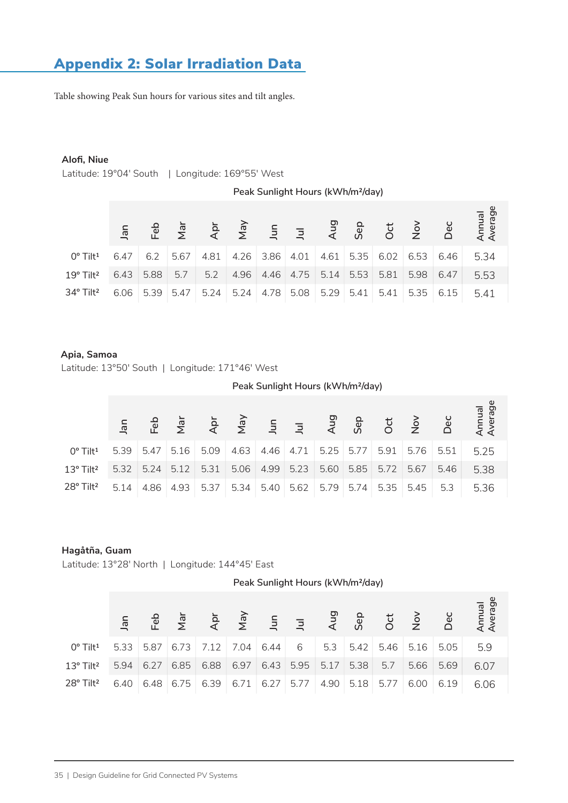# Appendix 2: Solar Irradiation Data

Table showing Peak Sun hours for various sites and tilt angles.

#### **Alofi, Niue**

Latitude: 19°04' South | Longitude: 169°55' West

|                                                                 | Peak Sunlight Hours (kWh/m <sup>2</sup> /day) |      |               |      |                |               |                |      |      |      |               |      |                   |  |
|-----------------------------------------------------------------|-----------------------------------------------|------|---------------|------|----------------|---------------|----------------|------|------|------|---------------|------|-------------------|--|
|                                                                 | Jan                                           | Feb  | $\frac{1}{2}$ | Apr  | $\overline{M}$ | $\frac{5}{2}$ | $\overline{z}$ | Aug  | Sep  | Oct  | $\frac{8}{2}$ | Dec  | Annual<br>Average |  |
| $0^{\circ}$ Tilt <sup>1</sup>                                   | 6.47                                          | 6.2  | 5.67          | 4.81 | 4.26           | 3.86          | 4.01           | 4.61 | 5.35 | 6.02 | 6.53          | 6.46 | 5.34              |  |
| 19° Tilt <sup>2</sup>                                           | 6.43                                          | 5.88 | 5.7           | 5.2  | 4.96           | 4.46          | 4.75           | 5.14 | 5.53 | 5.81 | 5.98          | 6.47 | 5.53              |  |
| 34° Tilt <sup>2</sup>                                           | 6.06                                          | 5.39 | 5.47          | 5.24 | 5.24           | 4.78          | 5.08           | 5.29 | 5.41 | 5.41 | 5.35          | 6.15 | 5.41              |  |
|                                                                 |                                               |      |               |      |                |               |                |      |      |      |               |      |                   |  |
|                                                                 |                                               |      |               |      |                |               |                |      |      |      |               |      |                   |  |
| Apia, Samoa<br>Latitude: 13°50' South   Longitude: 171°46' West |                                               |      |               |      |                |               |                |      |      |      |               |      |                   |  |

#### **Apia, Samoa**

|                                | Peak Sunlight Hours (kWh/m <sup>2</sup> /day) |      |      |      |      |      |      |      |      |      |                |      |                   |  |
|--------------------------------|-----------------------------------------------|------|------|------|------|------|------|------|------|------|----------------|------|-------------------|--|
|                                |                                               | Feb  |      |      |      |      |      |      |      |      | $\overline{C}$ | Dec  | Annual<br>Average |  |
| $0^{\circ}$ Tilt <sup>1</sup>  | 5.39                                          | 5.47 | 5.16 | 5.09 | 4.63 | 4.46 | 4.71 | 5.25 | 5.77 | 5.91 | 5.76           | 5.51 | 5.25              |  |
| $13^{\circ}$ Tilt <sup>2</sup> | 5.32                                          | 5.24 | 5.12 | 5.31 | 5.06 | 4.99 | 5.23 | 5.60 | 5.85 | 5.72 | 5.67           | 5.46 | 5.38              |  |
| 28° Tilt <sup>2</sup>          | 5.14                                          | 4.86 | 4.93 | 5.37 | 5.34 | 5.40 | 5.62 | 5.79 | 5.74 | 5.35 | 5.45           | 5.3  | 5.36              |  |

#### **Hagåtña, Guam**

Latitude: 13°28′ North | Longitude: 144°45′ East

| Peak Sunlight Hours (kWh/m <sup>2</sup> /day) |  |
|-----------------------------------------------|--|
|                                               |  |

| $0^{\circ}$ Tilt <sup>1</sup>  |  | 5.33 5.87 6.73 7.12 7.04 6.44 6 5.3 5.42 5.46 5.16 5.05 5.9 |  |                                |  |      |      |      |
|--------------------------------|--|-------------------------------------------------------------|--|--------------------------------|--|------|------|------|
| $13^{\circ}$ Tilt <sup>2</sup> |  | 5.94 6.27 6.85 6.88                                         |  | $6.97$ 6.43 5.95 5.17 5.38 5.7 |  | 5.66 | 5.69 | 6.07 |
| 28° Tilt <sup>2</sup>          |  | 6.40 6.48 6.75 6.39 6.71 6.27 5.77 4.90 5.18 5.77 6.00 6.19 |  |                                |  |      |      | 6.06 |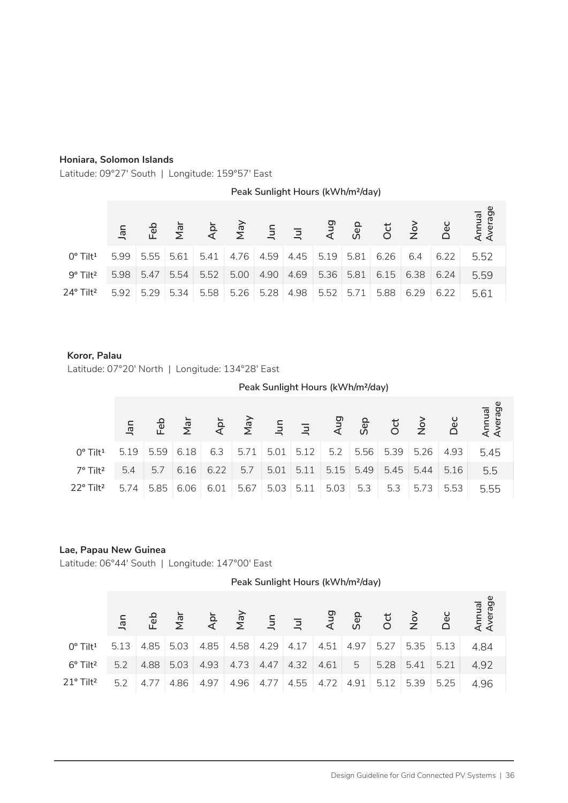#### **Honiara, Solomon Islands**

Latitude: 09°27′ South | Longitude: 159°57′ East

**Jan**  $0^{\circ}$  Tilt<sup>1</sup> 9º Tilt² 24º Tilt² **Feb Mar Apr May Jun Jul Aug Sep Oct Nov Dec Annual Average Peak Sunlight Hours (kWh/m²/day)** 5.99 5.55 5.61 5.41 4.76 4.59 4.45 5.54 5.47 5.98 5.34 5.29 4.69 4.90 5.00 5.52 4.98 5.28 5.26 6.4 6.38 6.29 6.26 5.81 5.19 6.15 5.81 5.36 5.88 5.92 5.71 5.52 5.58 6.22 6.24 6.22 5.52 5.59 5.61

#### **Koror, Palau**

Latitude: 07°20′ North | Longitude: 134°28′ East

|                               |      | Peak Sunlight Hours (kWh/m <sup>2</sup> /day) |      |      |      |      |      |      |      |      |      |      |                   |  |  |  |
|-------------------------------|------|-----------------------------------------------|------|------|------|------|------|------|------|------|------|------|-------------------|--|--|--|
|                               |      |                                               |      |      |      |      |      |      |      |      |      |      | Annual<br>Average |  |  |  |
| $0^{\circ}$ Tilt <sup>1</sup> | 5.19 | 5.59                                          | 6.18 | 6.3  | 5.71 | 5.01 | 5.12 | 5.2  | 5.56 | 5.39 | 5.26 | 4.93 | 5.45              |  |  |  |
| 7º Tilt <sup>2</sup>          | 5.4  | 5.7                                           | 6.16 | 6.22 | 5.7  | 5.01 | 5.11 | 5.15 | 5.49 | 5.45 | 5.44 | 5.16 | 5.5               |  |  |  |
| 22° Tilt <sup>2</sup>         | 5.74 | 5.85                                          | 6.06 | 6.01 | 5.67 | 5.03 | 5.11 | 5.03 | 5.3  | 5.3  | 5.73 | 5.53 | 5.55              |  |  |  |

#### **Lae, Papau New Guinea**

Latitude: 06°44′ South | Longitude: 147°00′ East

**Peak Sunlight Hours (kWh/m²/day)**

| $0^{\circ}$ Tilt <sup>1</sup>  |     |  |                            |  |  |                                             |  | 5.13 4.85 5.03 4.85 4.58 4.29 4.17 4.51 4.97 5.27 5.35 5.13 4.84 |
|--------------------------------|-----|--|----------------------------|--|--|---------------------------------------------|--|------------------------------------------------------------------|
| $6^{\circ}$ Tilt <sup>2</sup>  | 5.2 |  |                            |  |  |                                             |  |                                                                  |
| $21^{\circ}$ Tilt <sup>2</sup> |     |  | $5.2$   4.77   4.86   4.97 |  |  | $ 4.96 4.77 4.55 4.72 4.91 5.12 5.39 5.25 $ |  | 4.96                                                             |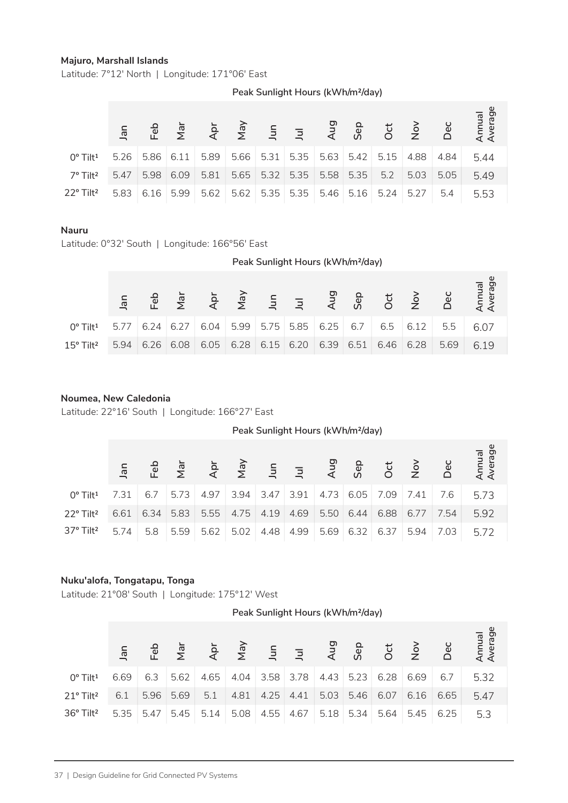#### **Majuro, Marshall Islands**

Latitude: 7°12′ North | Longitude: 171°06′ East

|                               |      |      |                                                             |  |                                |  |                                      |      | $\begin{array}{cccccccccccccccccc} \pi\pi & \text{ in} & \pi\pi & \text{ in} & \pi\pi & \text{ in} & \pi\pi & \text{ in} & \pi\pi & \text{ in} & \pi\pi & \text{ in} & \pi\pi & \text{ in} & \pi\pi & \text{ in} & \pi\pi & \text{ in} & \pi\pi & \text{ in} & \pi\pi & \text{ in} & \pi\pi & \text{ in} & \pi\pi & \text{ in} & \pi\pi & \text{ in} & \pi\pi & \text{ in} & \pi\pi & \text{ in} & \pi\pi & \text{ in} & \pi\pi & \text{ in} & \pi\pi & \text{ in} &$ |
|-------------------------------|------|------|-------------------------------------------------------------|--|--------------------------------|--|--------------------------------------|------|-----------------------------------------------------------------------------------------------------------------------------------------------------------------------------------------------------------------------------------------------------------------------------------------------------------------------------------------------------------------------------------------------------------------------------------------------------------------------|
| $0^{\circ}$ Tilt <sup>1</sup> |      |      | 5.26 5.86 6.11 5.89 5.66 5.31 5.35 5.63 5.42 5.15 4.88 4.84 |  |                                |  |                                      |      | 5.44                                                                                                                                                                                                                                                                                                                                                                                                                                                                  |
| 7° Tilt <sup>2</sup>          | 5.47 | 5.98 | $6.09$ 5.81                                                 |  | $5.65$ 5.32 5.35 5.58 5.35 5.2 |  | 5.03                                 | 5.05 | 5.49                                                                                                                                                                                                                                                                                                                                                                                                                                                                  |
| 22° Tilt <sup>2</sup>         | 5.83 |      | $6.16$ 5.99 5.62                                            |  |                                |  | $5.62$ 5.35 5.35 5.46 5.16 5.24 5.27 | 5.4  | 5.53                                                                                                                                                                                                                                                                                                                                                                                                                                                                  |

**Peak Sunlight Hours (kWh/m²/day)**

# **Nauru**

|                                        |                                                                           |                         |                |                      |      | Peak Sunlight Hours (kWh/m <sup>2</sup> /day) |            |      |      |               |      |                   |  |  |  |  |  |  |  |
|----------------------------------------|---------------------------------------------------------------------------|-------------------------|----------------|----------------------|------|-----------------------------------------------|------------|------|------|---------------|------|-------------------|--|--|--|--|--|--|--|
| Πe                                     | Feb                                                                       | $\overline{\mathbb{R}}$ | $\overline{A}$ | In<br>In<br>In<br>In |      |                                               | <b>Aug</b> | Sep  | Oct  | $\frac{5}{2}$ | Dec  | Annual<br>Average |  |  |  |  |  |  |  |
| $0^{\circ}$ Tilt <sup>1</sup><br>5.77  | 6.24                                                                      | 6.27                    | 6.04           | 5.99                 | 5.75 | 5.85                                          | 6.25       | 6.7  | 6.5  | 6.12          | 5.5  | 6.07              |  |  |  |  |  |  |  |
| 5.94<br>$15^{\circ}$ Tilt <sup>2</sup> | 6.26                                                                      | 6.08                    | 6.05           | 6.28                 | 6.15 | 6.20                                          | 6.39       | 6.51 | 6.46 | 6.28          | 5.69 | 6.19              |  |  |  |  |  |  |  |
|                                        |                                                                           |                         |                |                      |      |                                               |            |      |      |               |      |                   |  |  |  |  |  |  |  |
|                                        | Noumea, New Caledonia<br>Latitude: 22°16' South   Longitude: 166°27' East |                         |                |                      |      |                                               |            |      |      |               |      |                   |  |  |  |  |  |  |  |

#### **Noumea, New Caledonia**

|                                                                                  | Jan    | டீ   | $\bar{\mathbb{Z}}$ | ਟੈ             | $\overline{\mathsf{z}}$ | 흑              | 콬              | ₹                                             | တိ   | ŏ          | $\frac{1}{2}$                              | ΘÕ   | Arre<br>Ave               |
|----------------------------------------------------------------------------------|--------|------|--------------------|----------------|-------------------------|----------------|----------------|-----------------------------------------------|------|------------|--------------------------------------------|------|---------------------------|
| 0° Tilt <sup>1</sup>                                                             | 5.26   | 5.86 | 6.11               | 5.89           | 5.66                    | 5.31           | 5.35           | 5.63                                          | 5.42 | 5.15       | 4.88                                       | 4.84 | 5.44                      |
| 7º Tilt <sup>2</sup>                                                             | 5.47   | 5.98 | 6.09               | 5.81           | 5.65                    | 5.32           | 5.35           | 5.58                                          | 5.35 | 5.2        | 5.03                                       | 5.05 | 5.49                      |
| 22° Tilt <sup>2</sup>                                                            | 5.83   | 6.16 | 5.99               | 5.62           | 5.62                    | 5.35           | 5.35           | 5.46                                          | 5.16 | 5.24       | 5.27                                       | 5.4  | 5.53                      |
|                                                                                  |        |      |                    |                |                         |                |                |                                               |      |            |                                            |      |                           |
| <b>Nauru</b>                                                                     |        |      |                    |                |                         |                |                |                                               |      |            |                                            |      |                           |
| Latitude: 0°32' South   Longitude: 166°56' East                                  |        |      |                    |                |                         |                |                |                                               |      |            |                                            |      |                           |
|                                                                                  |        |      |                    |                |                         |                |                | Peak Sunlight Hours (kWh/m <sup>2</sup> /day) |      |            |                                            |      |                           |
|                                                                                  | Jan    | Feb  | Nar                | Apr            | VeN                     | $\overline{5}$ | $\overline{z}$ | Aug                                           | Sep  | Oct        | $\stackrel{\textstyle{>}}{\textstyle\sim}$ | Dec  | Annual<br>Average         |
| 0° Tilt <sup>1</sup>                                                             | 5.77   | 6.24 | 6.27               | 6.04           | 5.99                    | 5.75           | 5.85           | 6.25                                          | 6.7  | 6.5        | 6.12                                       | 5.5  | 6.07                      |
| 15° Tilt <sup>2</sup>                                                            | 5.94   | 6.26 | 6.08               | 6.05           | 6.28                    | 6.15           | 6.20           | 6.39                                          | 6.51 | 6.46       | 6.28                                       | 5.69 | 6.19                      |
|                                                                                  |        |      |                    |                |                         |                |                |                                               |      |            |                                            |      |                           |
|                                                                                  |        |      |                    |                |                         |                |                |                                               |      |            |                                            |      |                           |
| Noumea, New Caledonia                                                            |        |      |                    |                |                         |                |                |                                               |      |            |                                            |      |                           |
| Latitude: 22°16' South   Longitude: 166°27' East                                 |        |      |                    |                |                         |                |                |                                               |      |            |                                            |      |                           |
|                                                                                  |        |      |                    |                |                         |                |                | Peak Sunlight Hours (kWh/m <sup>2</sup> /day) |      |            |                                            |      |                           |
|                                                                                  |        |      |                    |                |                         |                |                |                                               |      |            |                                            |      |                           |
|                                                                                  |        |      |                    |                |                         |                |                |                                               |      |            |                                            |      |                           |
|                                                                                  | $J$ an | Feb  | Nar                | Äpr            | Vay                     | $\overline{5}$ | $\overline{z}$ | Aug                                           | Sep  | $\cot$     | $\frac{5}{2}$                              | Dec  | Annual<br>Average         |
| 0° Tilt <sup>1</sup>                                                             | 7.31   | 6.7  | 5.73               | 4.97           | 3.94                    | 3.47           | 3.91           | 4.73                                          | 6.05 | 7.09       | 7.41                                       | 7.6  | 5.73                      |
| 22° Tilt <sup>2</sup>                                                            | 6.61   | 6.34 | 5.83               | 5.55           | 4.75                    | 4.19           | 4.69           | 5.50                                          | 6.44 | 6.88       | 6.77                                       | 7.54 | 5.92                      |
| 37° Tilt <sup>2</sup>                                                            | 5.74   | 5.8  | 5.59               | 5.62           | 5.02                    | 4.48           | 4.99           | 5.69                                          | 6.32 | 6.37       | 5.94                                       | 7.03 | 5.72                      |
|                                                                                  |        |      |                    |                |                         |                |                |                                               |      |            |                                            |      |                           |
|                                                                                  |        |      |                    |                |                         |                |                |                                               |      |            |                                            |      |                           |
| Nuku'alofa, Tongatapu, Tonga<br>Latitude: 21°08' South   Longitude: 175°12' West |        |      |                    |                |                         |                |                |                                               |      |            |                                            |      |                           |
|                                                                                  |        |      |                    |                |                         |                |                | Peak Sunlight Hours (kWh/m <sup>2</sup> /day) |      |            |                                            |      |                           |
|                                                                                  |        |      |                    |                |                         |                |                |                                               |      |            |                                            |      |                           |
|                                                                                  | Jan    | Feb  | Nar                | $\overline{4}$ | Vey                     | Jun            | $\overline{z}$ | Aug                                           | Sep  | <b>Oct</b> | $\stackrel{\textstyle{>}}{\textstyle\sim}$ | Dec  |                           |
| 0° Tilt <sup>1</sup>                                                             | 6.69   | 6.3  | 5.62               | 4.65           | 4.04                    | 3.58           | 3.78           | 4.43                                          | 5.23 | 6.28       | 6.69                                       | 6.7  | Annual<br>Average<br>5.32 |
| 21° Tilt <sup>2</sup>                                                            | 6.1    | 5.96 | 5.69               | 5.1            | 4.81                    | 4.25           | 4.41           | 5.03                                          | 5.46 | 6.07       | 6.16                                       | 6.65 | 5.47                      |
| 36° Tilt <sup>2</sup>                                                            | 5.35   | 5.47 | 5.45               | 5.14           | 5.08                    | 4.55           | 4.67           | 5.18                                          | 5.34 | 5.64       | 5.45                                       | 6.25 | 5.3                       |
|                                                                                  |        |      |                    |                |                         |                |                |                                               |      |            |                                            |      |                           |
|                                                                                  |        |      |                    |                |                         |                |                |                                               |      |            |                                            |      |                           |

#### **Nuku'alofa, Tongatapu, Tonga**

| $0^{\circ}$ Tilt <sup>1</sup>  | 6.69 | 6.3  |            | $\vert 5.62 \vert 4.65 \vert 4.04 \vert 3.58 \vert 3.78 \vert 4.43 \vert 5.23 \vert 6.28 \vert 6.69 \vert 6.7 \vert$ |                               |  |  |             |                                                 | 5.32 |
|--------------------------------|------|------|------------|----------------------------------------------------------------------------------------------------------------------|-------------------------------|--|--|-------------|-------------------------------------------------|------|
| $21^{\circ}$ Tilt <sup>2</sup> | 6.1  | 5.96 | $5.69$ 5.1 |                                                                                                                      | 4.81 4.25 4.41 5.03 5.46 6.07 |  |  | $6.16$ 6.65 |                                                 | 5.47 |
| 36° Tilt <sup>2</sup>          |      |      |            | $5.35$ 5.47 5.45 5.14                                                                                                |                               |  |  |             | $\vert$ 5.08 4.55 4.67 5.18 5.34 5.64 5.45 6.25 | 5.3  |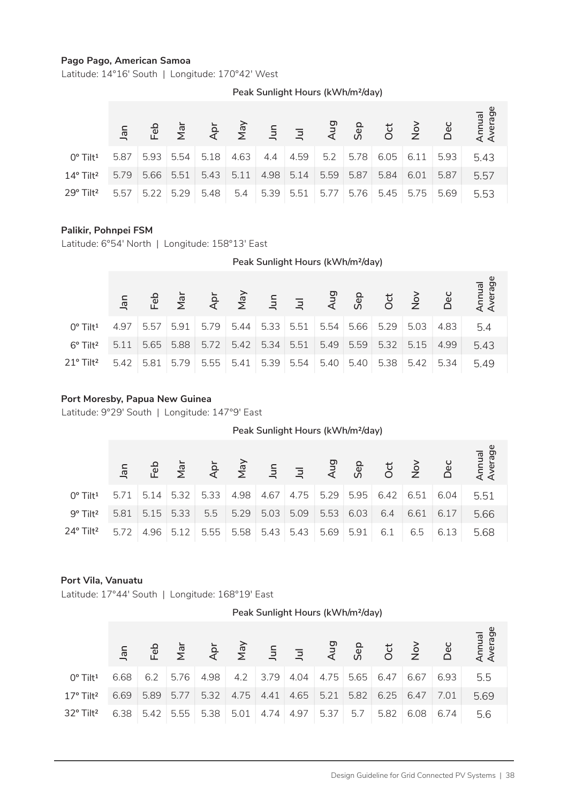#### **Pago Pago, American Samoa**

Latitude: 14°16′ South | Longitude: 170°42′ West

| $0^{\circ}$ Tilt <sup>1</sup>  | 5.87 | 5.93 |      | $5.54$ 5.18      |      |                      |      |      | $4.63$ 4.4 4.59 5.2 5.78 6.05 6.11 5.93 |      | 5.43 |
|--------------------------------|------|------|------|------------------|------|----------------------|------|------|-----------------------------------------|------|------|
| $14^{\circ}$ Tilt <sup>2</sup> | 5.79 | 5.66 |      | $5.51 \mid 5.43$ | 5.11 | $4.98$ 5.14 5.59     | 5.87 | 5.84 | 6.01                                    | 5.87 | 5.57 |
| 29° Tilt <sup>2</sup>          | 5.57 | 5.22 | 5.29 | 5.48             |      | $5.4$ 5.39 5.51 5.77 |      |      | $5.76$ 5.45 5.75                        | 5.69 | 5.53 |

**Peak Sunlight Hours (kWh/m²/day)**

## **Palikir, Pohnpei FSM**

|                                                                         | lan  | ご    | $\sum_{i=1}^{n}$ | $\overline{A}$ | $\overline{\mathsf{z}}$ | Jur                                           | $\overline{z}$ | Αu   | Se   | ဝိ   | $\frac{6}{5}$ | De   | Arre<br>Ave       |
|-------------------------------------------------------------------------|------|------|------------------|----------------|-------------------------|-----------------------------------------------|----------------|------|------|------|---------------|------|-------------------|
| 0° Tilt <sup>1</sup>                                                    | 5.87 | 5.93 | 5.54             | 5.18           | 4.63                    | 4.4                                           | 4.59           | 5.2  | 5.78 | 6.05 | 6.11          | 5.93 | 5.43              |
| 14° Tilt <sup>2</sup>                                                   | 5.79 | 5.66 | 5.51             | 5.43           | 5.11                    | 4.98                                          | 5.14           | 5.59 | 5.87 | 5.84 | 6.01          | 5.87 | 5.57              |
| 29° Tilt <sup>2</sup>                                                   | 5.57 | 5.22 | 5.29             | 5.48           | 5.4                     | 5.39                                          | 5.51           | 5.77 | 5.76 | 5.45 | 5.75          | 5.69 | 5.53              |
| Palikir, Pohnpei FSM<br>Latitude: 6°54' North   Longitude: 158°13' East |      |      |                  |                |                         | Peak Sunlight Hours (kWh/m <sup>2</sup> /day) |                |      |      |      |               |      |                   |
|                                                                         |      |      |                  |                |                         |                                               |                |      |      |      |               |      |                   |
|                                                                         | Jan  | Feb  | Nar              | Apr            | Vay                     | Jun                                           | $\overline{z}$ | Aug  | Sep  | Oct  | $\frac{1}{2}$ | Dec  | Annual<br>Average |
| 0° Tilt <sup>1</sup>                                                    | 4.97 | 5.57 | 5.91             | 5.79           | 5.44                    | 5.33                                          | 5.51           | 5.54 | 5.66 | 5.29 | 5.03          | 4.83 | 5.4               |
| 6° Tilt <sup>2</sup>                                                    | 5.11 | 5.65 | 5.88             | 5.72           | 5.42                    | 5.34                                          | 5.51           | 5.49 | 5.59 | 5.32 | 5.15          | 4.99 | 5.43              |
| 21° Tilt <sup>2</sup>                                                   | 5.42 | 5.81 | 5.79             | 5.55           | 5.41                    | 5.39                                          | 5.54           | 5.40 | 5.40 | 5.38 | 5.42          | 5.34 | 5.49              |

#### **Port Moresby, Papua New Guinea**

**Peak Sunlight Hours (kWh/m²/day)**

| $0^{\circ}$ Tilt <sup>1</sup>  |                  | $5.71$ 5.14 5.32 5.33                            | $ 4.98 4.67 4.75 5.29 5.95 6.42 6.51 6.04$ |                  |  |     |                  |             | 551  |
|--------------------------------|------------------|--------------------------------------------------|--------------------------------------------|------------------|--|-----|------------------|-------------|------|
| $9^{\circ}$ Tilt <sup>2</sup>  | $5.81$ 5.15 5.33 |                                                  | $5.5$ $5.29$ $5.03$                        | $5.09$ 5.53 6.03 |  | 6.4 |                  | $6.61$ 6.17 | 5.66 |
| $24^{\circ}$ Tilt <sup>2</sup> |                  | 5.72 4.96 5.12 5.55 5.58 5.43 5.43 5.69 5.91 6.1 |                                            |                  |  |     | $6.5 \quad 6.13$ |             | 5.68 |

#### **Port Vila, Vanuatu**

Latitude: 17°44' South | Longitude: 168°19' East

| Peak Sunlight Hours (kWh/m <sup>2</sup> /day) |  |
|-----------------------------------------------|--|
|-----------------------------------------------|--|

| $0^{\circ}$ Tilt <sup>1</sup>  | 6.68 |      | 6.2 5.76 4.98 4.2 3.79 4.04 4.75 5.65 6.47 6.67 6.93                       |  |  |  |  | 5.5  |
|--------------------------------|------|------|----------------------------------------------------------------------------|--|--|--|--|------|
| $17^{\circ}$ Tilt <sup>2</sup> | 6.69 | 5.89 | $\mid$ 5.77   5.32   4.75   4.41   4.65   5.21   5.82   6.25   6.47   7.01 |  |  |  |  | 5.69 |
| $32^{\circ}$ Tilt <sup>2</sup> |      |      | 6.38 5.42 5.55 5.38 5.01 4.74 4.97 5.37 5.7 5.82 6.08 6.74                 |  |  |  |  | 5.6  |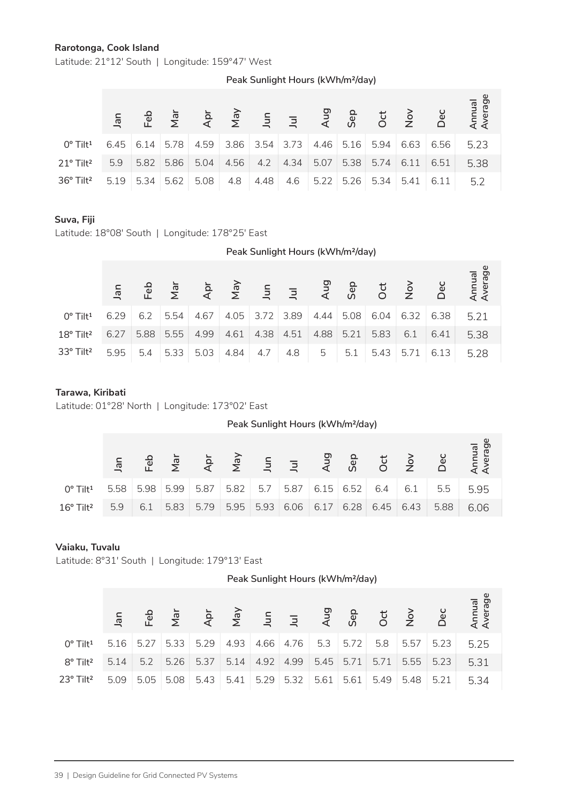#### **Rarotonga, Cook Island**

Latitude: 21°12′ South | Longitude: 159°47′ West

| Peak Sunlight Hours (kWh/m <sup>2</sup> /day) |  |  |  |  |  |
|-----------------------------------------------|--|--|--|--|--|
|-----------------------------------------------|--|--|--|--|--|

| $0^{\circ}$ Tilt <sup>1</sup>  |      |      |      | $6.45$ 6.14 5.78 4.59 3.86 3.54 3.73 4.46 5.16 5.94 |      |                             |  |             | 6.63 | 6.56             | 5.23 |
|--------------------------------|------|------|------|-----------------------------------------------------|------|-----------------------------|--|-------------|------|------------------|------|
| $21^{\circ}$ Tilt <sup>2</sup> | 5.9  | 5.82 | 5.86 | 5.04                                                | 4.56 | 4.2 4.34 5.07               |  | $5.38$ 5.74 | 6.11 | 6.51             | 5.38 |
| 36° Tilt <sup>2</sup>          | 5.19 | 5.34 | 5.62 | 5.08                                                |      | 4.8 4.48 4.6 5.22 5.26 5.34 |  |             |      | $5.41 \div 6.11$ | 5.2  |

#### **Suva, Fiji**

|                                                                | <u>ier</u> | 굔    | $\overline{\mathbb{Z}}$ | ਵੈ   | $\bar{\mathbb{Z}}$ | $\tilde{=}$ | 크                                             | ξ    | တိ   | ŏ              | $\frac{1}{2}$ | ق    | Arr<br>Ave        |  |
|----------------------------------------------------------------|------------|------|-------------------------|------|--------------------|-------------|-----------------------------------------------|------|------|----------------|---------------|------|-------------------|--|
| 0° Tilt <sup>1</sup>                                           | 6.45       | 6.14 | 5.78                    | 4.59 | 3.86               | 3.54        | 3.73                                          | 4.46 | 5.16 | 5.94           | 6.63          | 6.56 | 5.23              |  |
| 21° Tilt <sup>2</sup>                                          | 5.9        | 5.82 | 5.86                    | 5.04 | 4.56               | 4.2         | 4.34                                          | 5.07 | 5.38 | 5.74           | 6.11          | 6.51 | 5.38              |  |
| 36° Tilt <sup>2</sup>                                          | 5.19       | 5.34 | 5.62                    | 5.08 | 4.8                | 4.48        | 4.6                                           | 5.22 | 5.26 | 5.34           | 5.41          | 6.11 | 5.2               |  |
|                                                                |            |      |                         |      |                    |             |                                               |      |      |                |               |      |                   |  |
| Suva, Fiji<br>Latitude: 18°08' South   Longitude: 178°25' East |            |      |                         |      |                    |             |                                               |      |      |                |               |      |                   |  |
|                                                                |            |      |                         |      |                    |             | Peak Sunlight Hours (kWh/m <sup>2</sup> /day) |      |      |                |               |      |                   |  |
|                                                                |            |      |                         |      |                    |             |                                               |      |      |                |               |      |                   |  |
|                                                                | Jan        | Feb  | Nar                     | Åpr  | VeN                | Jun         | $\overline{z}$                                | Aug  | Sep  | Oct            | $\frac{5}{2}$ | Dec  | Annual<br>Average |  |
| 0° Tilt <sup>1</sup>                                           | 6.29       | 6.2  | 5.54                    | 4.67 | 4.05               | 3.72        | 3.89                                          | 4.44 | 5.08 | 6.04           | 6.32          | 6.38 | 5.21              |  |
| 18° Tilt <sup>2</sup>                                          | 6.27       | 5.88 | 5.55                    | 4.99 | 4.61               | 4.38        | 4.51                                          | 4.88 | 5.21 | 5.83           | 6.1           | 6.41 | 5.38              |  |
| 33° Tilt <sup>2</sup>                                          | 5.95       | 5.4  | 5.33                    | 5.03 | 4.84               | 4.7         | 4.8                                           | 5    | 5.1  | 5.43           | 5.71          | 6.13 | 5.28              |  |
|                                                                |            |      |                         |      |                    |             |                                               |      |      |                |               |      |                   |  |
| Tarawa, Kiribati                                               |            |      |                         |      |                    |             |                                               |      |      |                |               |      |                   |  |
| Latitude: 01°28' North   Longitude: 173°02' East               |            |      |                         |      |                    |             |                                               |      |      |                |               |      |                   |  |
|                                                                |            |      |                         |      |                    |             | Peak Sunlight Hours (kWh/m <sup>2</sup> /day) |      |      |                |               |      |                   |  |
|                                                                |            |      |                         |      |                    |             |                                               |      |      |                |               |      | Annual<br>Average |  |
|                                                                | Jan        | Feb  | Nar                     | Apr  | Vay                | Surl        | $\overline{z}$                                | Aug  | Sep  | $\overline{C}$ | $rac{8}{2}$   | Dec  |                   |  |
| 0° Tilt <sup>1</sup>                                           | 5.58       | 5.98 | 5.99                    | 5.87 | 5.82               | 5.7         | 5.87                                          | 6.15 | 6.52 | 6.4            | 6.1           | 5.5  | 5.95              |  |
| 16° Tilt <sup>2</sup>                                          | 5.9        | 6.1  | 5.83                    | 5.79 | 5.95               | 5.93        | 6.06                                          | 6.17 | 6.28 | 6.45           | 6.43          | 5.88 | 6.06              |  |
|                                                                |            |      |                         |      |                    |             |                                               |      |      |                |               |      |                   |  |
| Vaiaku, Tuvalu                                                 |            |      |                         |      |                    |             |                                               |      |      |                |               |      |                   |  |
| Latitude: 8°31' South   Longitude: 179°13' East                |            |      |                         |      |                    |             |                                               |      |      |                |               |      |                   |  |

#### **Tarawa, Kiribati**

|                                |      |      |      |      |      |      | Peak Sunlight Hours (kWh/m <sup>2</sup> /day) |      |             |      |      |      |                                                                 |
|--------------------------------|------|------|------|------|------|------|-----------------------------------------------|------|-------------|------|------|------|-----------------------------------------------------------------|
|                                |      |      |      |      |      |      |                                               |      |             |      |      |      | Teb<br>서울 수 호 후 도 그 국 양 6 년 2 년 1대<br>서울 수 호 그 그 국 양 6 년 2 년 6월 |
| $0^{\circ}$ Tilt <sup>1</sup>  | 5.58 | 5.98 | 5.99 | 5.87 | 5.82 | 5.7  | 5.87                                          |      | $6.15$ 6.52 | 6.4  | 6.1  | 5.5  | 5.95                                                            |
| $16^{\circ}$ Tilt <sup>2</sup> | 5.9  | 6.1  | 5.83 | 5.79 | 5.95 | 5.93 | 6.06                                          | 6.17 | 6.28        | 6.45 | 6.43 | 5.88 | 6.06                                                            |

#### **Vaiaku, Tuvalu**

|                                                                                                  | nar<br>L | ご    | $\overline{\mathbb{Z}}$ | $\overline{A}$ | $\sum_{i=1}^{n}$ | 르              | $\overline{z}$ | $\overline{4}$ | <b>Sej</b> | ව<br>ර | $\frac{1}{2}$ | Ď    | Anr<br>Ave        |
|--------------------------------------------------------------------------------------------------|----------|------|-------------------------|----------------|------------------|----------------|----------------|----------------|------------|--------|---------------|------|-------------------|
| 0° Tilt <sup>1</sup>                                                                             | 5.58     | 5.98 | 5.99                    | 5.87           | 5.82             | 5.7            | 5.87           | 6.15           | 6.52       | 6.4    | 6.1           | 5.5  | 5.95              |
| 16° Tilt <sup>2</sup>                                                                            | 5.9      | 6.1  | 5.83                    | 5.79           | 5.95             | 5.93           | 6.06           | 6.17           | 6.28       | 6.45   | 6.43          | 5.88 | 6.06              |
|                                                                                                  |          |      |                         |                |                  |                |                |                |            |        |               |      |                   |
| Vaiaku, Tuvalu                                                                                   |          |      |                         |                |                  |                |                |                |            |        |               |      |                   |
| Latitude: 8°31' South   Longitude: 179°13' East<br>Peak Sunlight Hours (kWh/m <sup>2</sup> /day) |          |      |                         |                |                  |                |                |                |            |        |               |      |                   |
|                                                                                                  |          |      |                         |                |                  |                |                |                |            |        |               |      |                   |
|                                                                                                  |          |      |                         |                |                  |                |                |                |            |        |               |      |                   |
|                                                                                                  | Jan      | Feb  | Nar                     | Apr            | Vay              | $\overline{5}$ | $\overline{z}$ | Aug            | Sep        | Oct    | $\frac{5}{2}$ | Dec  | Annual<br>Average |
| 0° Tilt <sup>1</sup>                                                                             | 5.16     | 5.27 | 5.33                    | 5.29           | 4.93             | 4.66           | 4.76           | 5.3            | 5.72       | 5.8    | 5.57          | 5.23 | 5.25              |
| 8° Tilt <sup>2</sup>                                                                             | 5.14     | 5.2  | 5.26                    | 5.37           | 5.14             | 4.92           | 4.99           | 5.45           | 5.71       | 5.71   | 5.55          | 5.23 | 5.31              |
| 23° Tilt <sup>2</sup>                                                                            | 5.09     | 5.05 | 5.08                    | 5.43           | 5.41             | 5.29           | 5.32           | 5.61           | 5.61       | 5.49   | 5.48          | 5.21 | 5.34              |
|                                                                                                  |          |      |                         |                |                  |                |                |                |            |        |               |      |                   |
|                                                                                                  |          |      |                         |                |                  |                |                |                |            |        |               |      |                   |
|                                                                                                  |          |      |                         |                |                  |                |                |                |            |        |               |      |                   |
|                                                                                                  |          |      |                         |                |                  |                |                |                |            |        |               |      |                   |
| 39   Design Guideline for Grid Connected PV Systems                                              |          |      |                         |                |                  |                |                |                |            |        |               |      |                   |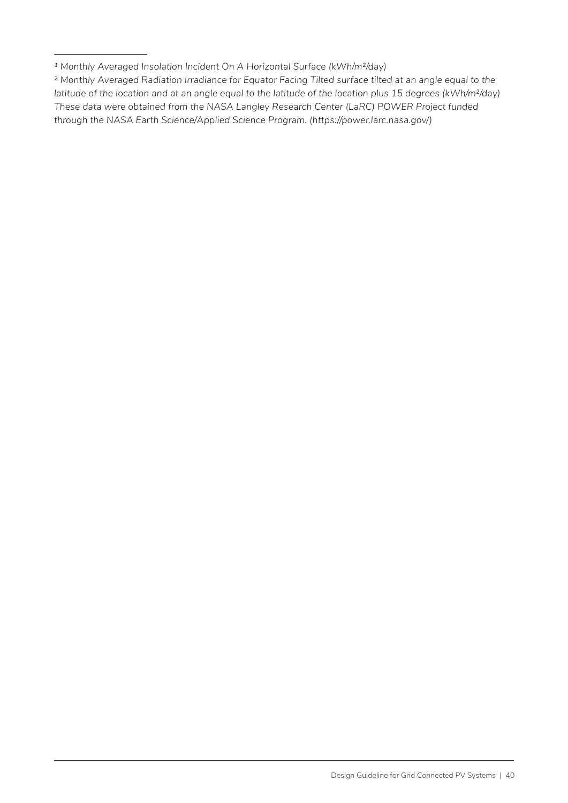*<sup>1</sup> Monthly Averaged Insolation Incident On A Horizontal Surface (kWh/m²/day)*

*² Monthly Averaged Radiation Irradiance for Equator Facing Tilted surface tilted at an angle equal to the latitude of the location and at an angle equal to the latitude of the location plus 15 degrees (kWh/m²/day) These data were obtained from the NASA Langley Research Center (LaRC) POWER Project funded through the NASA Earth Science/Applied Science Program. (https://power.larc.nasa.gov/)*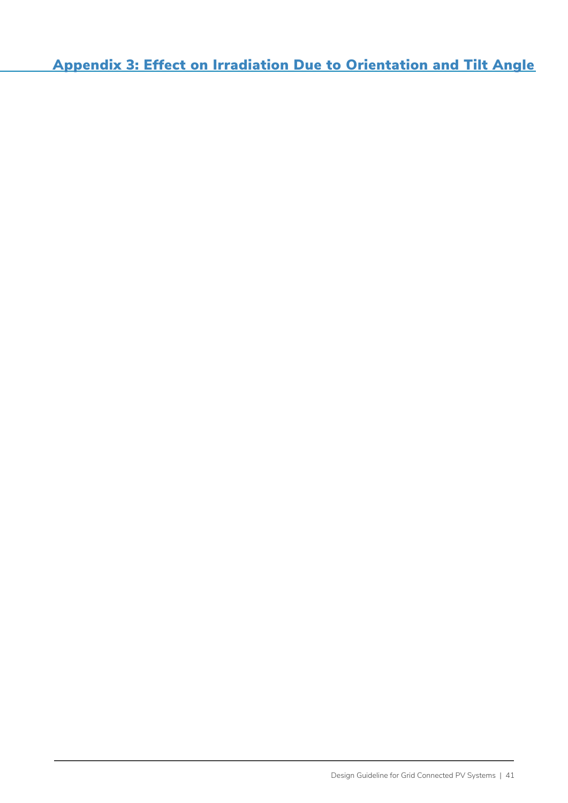Appendix 3: Effect on Irradiation Due to Orientation and Tilt Angle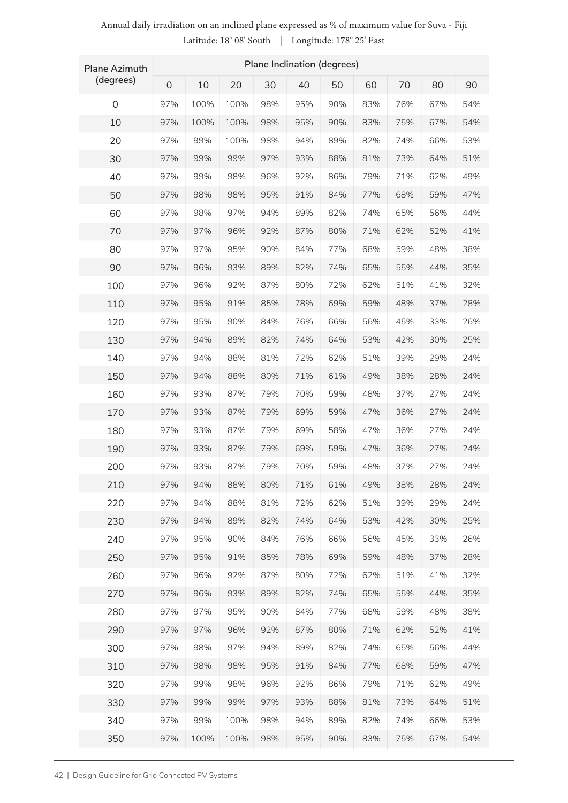#### **Plane Azimuth (degrees) Plane Inclination (degrees)** 0 10 20 30 40 50 60 70 80 90 97% 97% 97% 97% 97% 97% 97% 97% 97% 97% 97% 97% 97% 97% 97% 97% 97% 97% 97% 97% 97% 97% 97% 97% 97% 97% 97% 97% 97% 97% 97% 97% 97% 97% 97% 97% 95% 95% 94% 93% 92% 91% 89% 87% 84% 82% 80% 78% 76% 74% 72% 71% 70% 69% 69% 69% 70% 71% 72% 74% 76% 78% 80% 82% 84% 87% 89% 91% 92% 93% 94% 95% 100% 100% 100% 99% 98% 98% 97% 96% 95% 93% 92% 91% 90% 89% 88% 88% 87% 87% 87% 87% 87% 88% 88% 89% 90% 91% 92% 93% 95% 96% 97% 98% 98% 99% 100% 100% 83% 83% 82% 81% 79% 77% 74% 71% 68% 65% 62% 59% 56% 53% 51% 49% 48% 47% 47% 47% 48% 49% 51% 53% 56% 59% 62% 65% 68% 71% 74% 77% 79% 81% 82% 83% 67% 67% 66% 64% 62% 59% 56% 52% 48% 44% 41% 37% 33% 30% 29% 28% 27% 27% 27% 27% 27% 28% 29% 30% 33% 37% 41% 44% 48% 52% 56% 59% 62% 64% 66% 67% 100% 100% 99% 99% 99% 98% 98% 97% 97% 96% 96% 95% 95% 94% 94% 94% 93% 93% 93% 93% 93% 94% 94% 94% 95% 95% 96% 96% 97% 97% 98% 98% 99% 99% 99% 100% 90% 90% 89% 88% 86% 84% 82% 80% 77% 74% 72% 69% 66% 64% 62% 61% 59% 59% 58% 59% 59% 61% 62% 64% 66% 69% 72% 74% 77% 80% 82% 84% 86% 88% 89% 90% 98% 98% 98% 97% 96% 95% 94% 92% 90% 89% 87% 85% 84% 82% 81% 80% 79% 79% 79% 79% 79% 80% 81% 82% 84% 85% 87% 89% 90% 92% 94% 95% 96% 97% 98% 98% 76% 75% 74% 73% 71% 68% 65% 62% 59% 55% 51% 48% 45% 42% 39% 38% 37% 36% 36% 36% 37% 38% 39% 42% 45% 48% 51% 55% 59% 62% 65% 68% 71% 73% 74% 75% 54% 54% 53% 51% 49% 47% 44% 41% 38% 35% 32% 28% 26% 25% 24% 24% 24% 24% 24% 24% 24% 24% 24% 25% 26% 28% 32% 35% 38% 41% 44% 47% 49% 51% 53% 54% 0 10 20 30 40 50 60 70 80 90 100 110 120 130 140 150 160 170 180 190 200 210 220 230 240 250 260 270 280 290 300 310 320 330 340 350

#### Annual daily irradiation on an inclined plane expressed as % of maximum value for Suva - Fiji Latitude: 18° 08' South | Longitude: 178° 25' East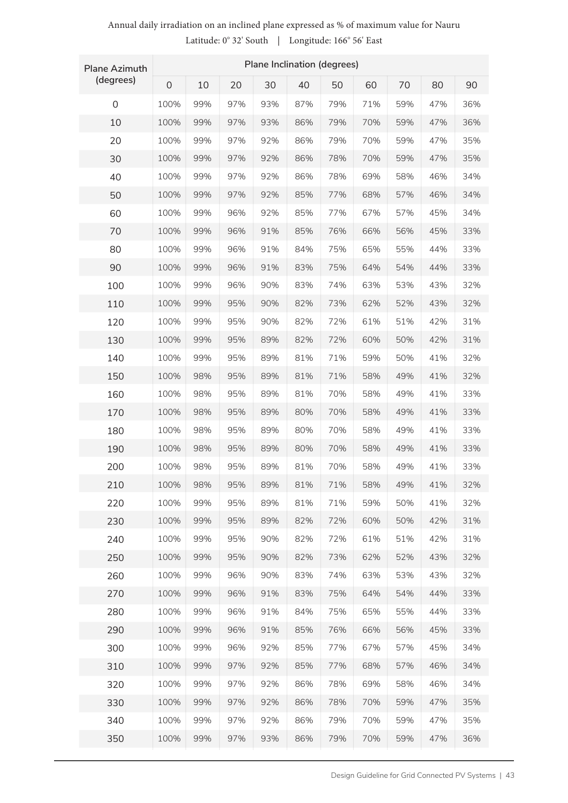### Annual daily irradiation on an inclined plane expressed as % of maximum value for Nauru Latitude: 0° 32' South | Longitude: 166° 56' East

| <b>Plane Azimuth</b> | Plane Inclination (degrees) |     |     |     |     |     |     |     |     |     |  |
|----------------------|-----------------------------|-----|-----|-----|-----|-----|-----|-----|-----|-----|--|
| (degrees)            | $\mathbf{O}$                | 10  | 20  | 30  | 40  | 50  | 60  | 70  | 80  | 90  |  |
| $\mathbf 0$          | 100%                        | 99% | 97% | 93% | 87% | 79% | 71% | 59% | 47% | 36% |  |
| 10                   | 100%                        | 99% | 97% | 93% | 86% | 79% | 70% | 59% | 47% | 36% |  |
| 20                   | 100%                        | 99% | 97% | 92% | 86% | 79% | 70% | 59% | 47% | 35% |  |
| 30                   | 100%                        | 99% | 97% | 92% | 86% | 78% | 70% | 59% | 47% | 35% |  |
| 40                   | 100%                        | 99% | 97% | 92% | 86% | 78% | 69% | 58% | 46% | 34% |  |
| 50                   | 100%                        | 99% | 97% | 92% | 85% | 77% | 68% | 57% | 46% | 34% |  |
| 60                   | 100%                        | 99% | 96% | 92% | 85% | 77% | 67% | 57% | 45% | 34% |  |
| 70                   | 100%                        | 99% | 96% | 91% | 85% | 76% | 66% | 56% | 45% | 33% |  |
| 80                   | 100%                        | 99% | 96% | 91% | 84% | 75% | 65% | 55% | 44% | 33% |  |
| 90                   | 100%                        | 99% | 96% | 91% | 83% | 75% | 64% | 54% | 44% | 33% |  |
| 100                  | 100%                        | 99% | 96% | 90% | 83% | 74% | 63% | 53% | 43% | 32% |  |
| 110                  | 100%                        | 99% | 95% | 90% | 82% | 73% | 62% | 52% | 43% | 32% |  |
| 120                  | 100%                        | 99% | 95% | 90% | 82% | 72% | 61% | 51% | 42% | 31% |  |
| 130                  | 100%                        | 99% | 95% | 89% | 82% | 72% | 60% | 50% | 42% | 31% |  |
| 140                  | 100%                        | 99% | 95% | 89% | 81% | 71% | 59% | 50% | 41% | 32% |  |
| 150                  | 100%                        | 98% | 95% | 89% | 81% | 71% | 58% | 49% | 41% | 32% |  |
| 160                  | 100%                        | 98% | 95% | 89% | 81% | 70% | 58% | 49% | 41% | 33% |  |
| 170                  | 100%                        | 98% | 95% | 89% | 80% | 70% | 58% | 49% | 41% | 33% |  |
| 180                  | 100%                        | 98% | 95% | 89% | 80% | 70% | 58% | 49% | 41% | 33% |  |
| 190                  | 100%                        | 98% | 95% | 89% | 80% | 70% | 58% | 49% | 41% | 33% |  |
| 200                  | 100%                        | 98% | 95% | 89% | 81% | 70% | 58% | 49% | 41% | 33% |  |
| 210                  | 100%                        | 98% | 95% | 89% | 81% | 71% | 58% | 49% | 41% | 32% |  |
| 220                  | 100%                        | 99% | 95% | 89% | 81% | 71% | 59% | 50% | 41% | 32% |  |
| 230                  | 100%                        | 99% | 95% | 89% | 82% | 72% | 60% | 50% | 42% | 31% |  |
| 240                  | 100%                        | 99% | 95% | 90% | 82% | 72% | 61% | 51% | 42% | 31% |  |
| 250                  | 100%                        | 99% | 95% | 90% | 82% | 73% | 62% | 52% | 43% | 32% |  |
| 260                  | 100%                        | 99% | 96% | 90% | 83% | 74% | 63% | 53% | 43% | 32% |  |
| 270                  | 100%                        | 99% | 96% | 91% | 83% | 75% | 64% | 54% | 44% | 33% |  |
| 280                  | 100%                        | 99% | 96% | 91% | 84% | 75% | 65% | 55% | 44% | 33% |  |
| 290                  | 100%                        | 99% | 96% | 91% | 85% | 76% | 66% | 56% | 45% | 33% |  |
| 300                  | 100%                        | 99% | 96% | 92% | 85% | 77% | 67% | 57% | 45% | 34% |  |
| 310                  | 100%                        | 99% | 97% | 92% | 85% | 77% | 68% | 57% | 46% | 34% |  |
| 320                  | 100%                        | 99% | 97% | 92% | 86% | 78% | 69% | 58% | 46% | 34% |  |
| 330                  | 100%                        | 99% | 97% | 92% | 86% | 78% | 70% | 59% | 47% | 35% |  |
| 340                  | 100%                        | 99% | 97% | 92% | 86% | 79% | 70% | 59% | 47% | 35% |  |
| 350                  | 100%                        | 99% | 97% | 93% | 86% | 79% | 70% | 59% | 47% | 36% |  |
|                      |                             |     |     |     |     |     |     |     |     |     |  |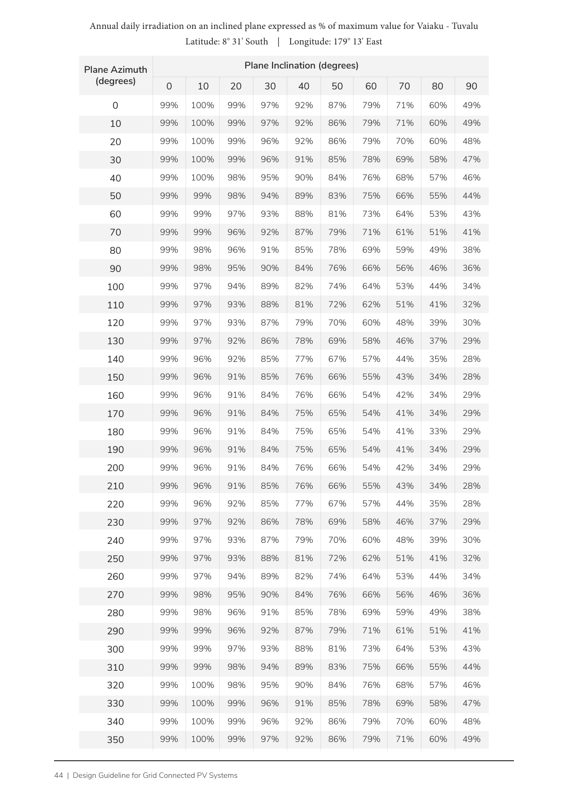| <b>Plane Azimuth</b> | Plane Inclination (degrees) |      |     |     |     |     |     |     |     |     |  |  |
|----------------------|-----------------------------|------|-----|-----|-----|-----|-----|-----|-----|-----|--|--|
| (degrees)            | $\mathsf{O}$                | 10   | 20  | 30  | 40  | 50  | 60  | 70  | 80  | 90  |  |  |
| 0                    | 99%                         | 100% | 99% | 97% | 92% | 87% | 79% | 71% | 60% | 49% |  |  |
| 10                   | 99%                         | 100% | 99% | 97% | 92% | 86% | 79% | 71% | 60% | 49% |  |  |
| 20                   | 99%                         | 100% | 99% | 96% | 92% | 86% | 79% | 70% | 60% | 48% |  |  |
| 30                   | 99%                         | 100% | 99% | 96% | 91% | 85% | 78% | 69% | 58% | 47% |  |  |
| 40                   | 99%                         | 100% | 98% | 95% | 90% | 84% | 76% | 68% | 57% | 46% |  |  |
| 50                   | 99%                         | 99%  | 98% | 94% | 89% | 83% | 75% | 66% | 55% | 44% |  |  |
| 60                   | 99%                         | 99%  | 97% | 93% | 88% | 81% | 73% | 64% | 53% | 43% |  |  |
| 70                   | 99%                         | 99%  | 96% | 92% | 87% | 79% | 71% | 61% | 51% | 41% |  |  |
| 80                   | 99%                         | 98%  | 96% | 91% | 85% | 78% | 69% | 59% | 49% | 38% |  |  |
| 90                   | 99%                         | 98%  | 95% | 90% | 84% | 76% | 66% | 56% | 46% | 36% |  |  |
| 100                  | 99%                         | 97%  | 94% | 89% | 82% | 74% | 64% | 53% | 44% | 34% |  |  |
| 110                  | 99%                         | 97%  | 93% | 88% | 81% | 72% | 62% | 51% | 41% | 32% |  |  |
| 120                  | 99%                         | 97%  | 93% | 87% | 79% | 70% | 60% | 48% | 39% | 30% |  |  |
| 130                  | 99%                         | 97%  | 92% | 86% | 78% | 69% | 58% | 46% | 37% | 29% |  |  |
| 140                  | 99%                         | 96%  | 92% | 85% | 77% | 67% | 57% | 44% | 35% | 28% |  |  |
| 150                  | 99%                         | 96%  | 91% | 85% | 76% | 66% | 55% | 43% | 34% | 28% |  |  |
| 160                  | 99%                         | 96%  | 91% | 84% | 76% | 66% | 54% | 42% | 34% | 29% |  |  |
| 170                  | 99%                         | 96%  | 91% | 84% | 75% | 65% | 54% | 41% | 34% | 29% |  |  |
| 180                  | 99%                         | 96%  | 91% | 84% | 75% | 65% | 54% | 41% | 33% | 29% |  |  |
| 190                  | 99%                         | 96%  | 91% | 84% | 75% | 65% | 54% | 41% | 34% | 29% |  |  |
| 200                  | 99%                         | 96%  | 91% | 84% | 76% | 66% | 54% | 42% | 34% | 29% |  |  |
| 210                  | 99%                         | 96%  | 91% | 85% | 76% | 66% | 55% | 43% | 34% | 28% |  |  |
| 220                  | 99%                         | 96%  | 92% | 85% | 77% | 67% | 57% | 44% | 35% | 28% |  |  |
| 230                  | 99%                         | 97%  | 92% | 86% | 78% | 69% | 58% | 46% | 37% | 29% |  |  |
| 240                  | 99%                         | 97%  | 93% | 87% | 79% | 70% | 60% | 48% | 39% | 30% |  |  |
| 250                  | 99%                         | 97%  | 93% | 88% | 81% | 72% | 62% | 51% | 41% | 32% |  |  |
| 260                  | 99%                         | 97%  | 94% | 89% | 82% | 74% | 64% | 53% | 44% | 34% |  |  |
| 270                  | 99%                         | 98%  | 95% | 90% | 84% | 76% | 66% | 56% | 46% | 36% |  |  |
| 280                  | 99%                         | 98%  | 96% | 91% | 85% | 78% | 69% | 59% | 49% | 38% |  |  |
| 290                  | 99%                         | 99%  | 96% | 92% | 87% | 79% | 71% | 61% | 51% | 41% |  |  |
| 300                  | 99%                         | 99%  | 97% | 93% | 88% | 81% | 73% | 64% | 53% | 43% |  |  |
| 310                  | 99%                         | 99%  | 98% | 94% | 89% | 83% | 75% | 66% | 55% | 44% |  |  |
| 320                  | 99%                         | 100% | 98% | 95% | 90% | 84% | 76% | 68% | 57% | 46% |  |  |
| 330                  | 99%                         | 100% | 99% | 96% | 91% | 85% | 78% | 69% | 58% | 47% |  |  |
| 340                  | 99%                         | 100% | 99% | 96% | 92% | 86% | 79% | 70% | 60% | 48% |  |  |
| 350                  | 99%                         | 100% | 99% | 97% | 92% | 86% | 79% | 71% | 60% | 49% |  |  |

### Annual daily irradiation on an inclined plane expressed as % of maximum value for Vaiaku - Tuvalu Latitude: 8° 31' South | Longitude: 179° 13' East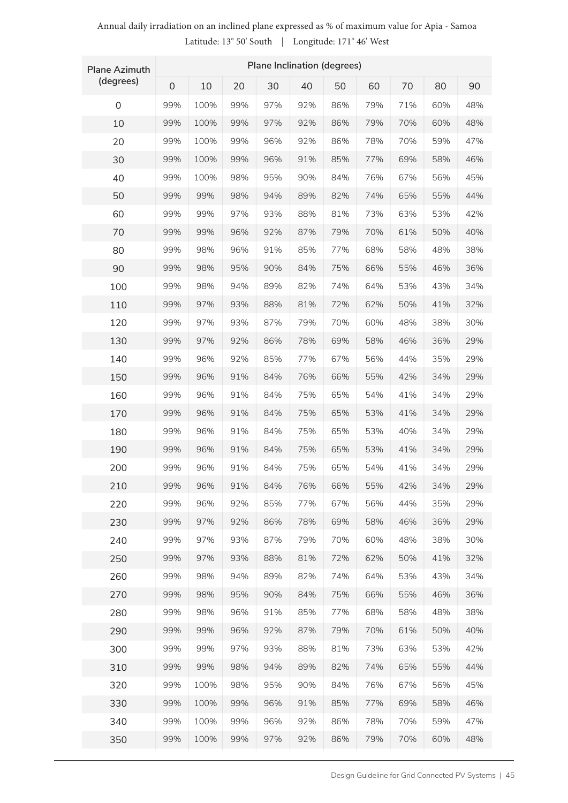| <b>Plane Azimuth</b> | Plane Inclination (degrees) |      |     |     |     |     |     |     |     |     |  |
|----------------------|-----------------------------|------|-----|-----|-----|-----|-----|-----|-----|-----|--|
| (degrees)            | $\mathbf 0$                 | 10   | 20  | 30  | 40  | 50  | 60  | 70  | 80  | 90  |  |
| $\mathsf 0$          | 99%                         | 100% | 99% | 97% | 92% | 86% | 79% | 71% | 60% | 48% |  |
| 10                   | 99%                         | 100% | 99% | 97% | 92% | 86% | 79% | 70% | 60% | 48% |  |
| 20                   | 99%                         | 100% | 99% | 96% | 92% | 86% | 78% | 70% | 59% | 47% |  |
| 30                   | 99%                         | 100% | 99% | 96% | 91% | 85% | 77% | 69% | 58% | 46% |  |
| 40                   | 99%                         | 100% | 98% | 95% | 90% | 84% | 76% | 67% | 56% | 45% |  |
| 50                   | 99%                         | 99%  | 98% | 94% | 89% | 82% | 74% | 65% | 55% | 44% |  |
| 60                   | 99%                         | 99%  | 97% | 93% | 88% | 81% | 73% | 63% | 53% | 42% |  |
| 70                   | 99%                         | 99%  | 96% | 92% | 87% | 79% | 70% | 61% | 50% | 40% |  |
| 80                   | 99%                         | 98%  | 96% | 91% | 85% | 77% | 68% | 58% | 48% | 38% |  |
| 90                   | 99%                         | 98%  | 95% | 90% | 84% | 75% | 66% | 55% | 46% | 36% |  |
| 100                  | 99%                         | 98%  | 94% | 89% | 82% | 74% | 64% | 53% | 43% | 34% |  |
| 110                  | 99%                         | 97%  | 93% | 88% | 81% | 72% | 62% | 50% | 41% | 32% |  |
| 120                  | 99%                         | 97%  | 93% | 87% | 79% | 70% | 60% | 48% | 38% | 30% |  |
| 130                  | 99%                         | 97%  | 92% | 86% | 78% | 69% | 58% | 46% | 36% | 29% |  |
| 140                  | 99%                         | 96%  | 92% | 85% | 77% | 67% | 56% | 44% | 35% | 29% |  |
| 150                  | 99%                         | 96%  | 91% | 84% | 76% | 66% | 55% | 42% | 34% | 29% |  |
| 160                  | 99%                         | 96%  | 91% | 84% | 75% | 65% | 54% | 41% | 34% | 29% |  |
| 170                  | 99%                         | 96%  | 91% | 84% | 75% | 65% | 53% | 41% | 34% | 29% |  |
| 180                  | 99%                         | 96%  | 91% | 84% | 75% | 65% | 53% | 40% | 34% | 29% |  |
| 190                  | 99%                         | 96%  | 91% | 84% | 75% | 65% | 53% | 41% | 34% | 29% |  |
| 200                  | 99%                         | 96%  | 91% | 84% | 75% | 65% | 54% | 41% | 34% | 29% |  |
| 210                  | 99%                         | 96%  | 91% | 84% | 76% | 66% | 55% | 42% | 34% | 29% |  |
| 220                  | 99%                         | 96%  | 92% | 85% | 77% | 67% | 56% | 44% | 35% | 29% |  |
| 230                  | 99%                         | 97%  | 92% | 86% | 78% | 69% | 58% | 46% | 36% | 29% |  |
| 240                  | 99%                         | 97%  | 93% | 87% | 79% | 70% | 60% | 48% | 38% | 30% |  |
| 250                  | 99%                         | 97%  | 93% | 88% | 81% | 72% | 62% | 50% | 41% | 32% |  |
| 260                  | 99%                         | 98%  | 94% | 89% | 82% | 74% | 64% | 53% | 43% | 34% |  |
| 270                  | 99%                         | 98%  | 95% | 90% | 84% | 75% | 66% | 55% | 46% | 36% |  |
| 280                  | 99%                         | 98%  | 96% | 91% | 85% | 77% | 68% | 58% | 48% | 38% |  |
| 290                  | 99%                         | 99%  | 96% | 92% | 87% | 79% | 70% | 61% | 50% | 40% |  |
| 300                  | 99%                         | 99%  | 97% | 93% | 88% | 81% | 73% | 63% | 53% | 42% |  |
| 310                  | 99%                         | 99%  | 98% | 94% | 89% | 82% | 74% | 65% | 55% | 44% |  |
| 320                  | 99%                         | 100% | 98% | 95% | 90% | 84% | 76% | 67% | 56% | 45% |  |
| 330                  | 99%                         | 100% | 99% | 96% | 91% | 85% | 77% | 69% | 58% | 46% |  |
| 340                  | 99%                         | 100% | 99% | 96% | 92% | 86% | 78% | 70% | 59% | 47% |  |
| 350                  | 99%                         | 100% | 99% | 97% | 92% | 86% | 79% | 70% | 60% | 48% |  |

### Annual daily irradiation on an inclined plane expressed as % of maximum value for Apia - Samoa Latitude: 13° 50' South | Longitude: 171° 46' West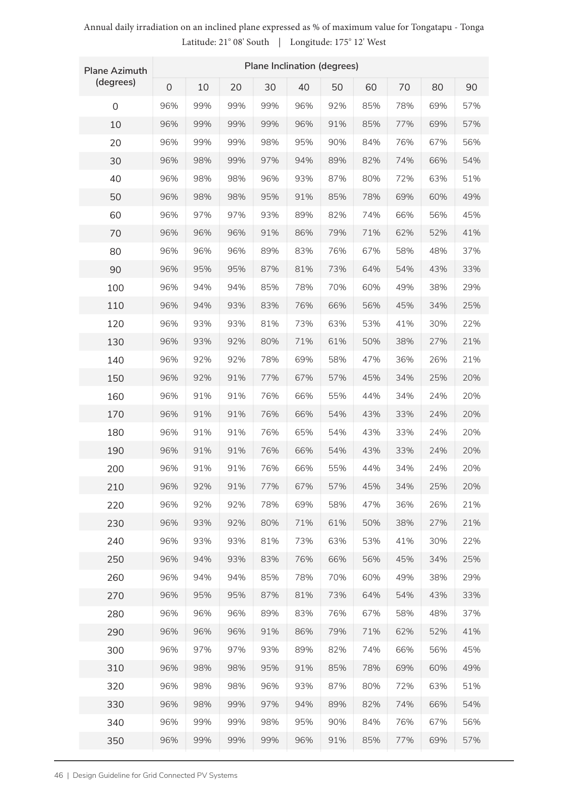| <b>Plane Azimuth</b> | Plane Inclination (degrees) |     |     |     |     |     |     |     |     |     |
|----------------------|-----------------------------|-----|-----|-----|-----|-----|-----|-----|-----|-----|
| (degrees)            | $\overline{0}$              | 10  | 20  | 30  | 40  | 50  | 60  | 70  | 80  | 90  |
| $\overline{0}$       | 96%                         | 99% | 99% | 99% | 96% | 92% | 85% | 78% | 69% | 57% |
| 10                   | 96%                         | 99% | 99% | 99% | 96% | 91% | 85% | 77% | 69% | 57% |
| 20                   | 96%                         | 99% | 99% | 98% | 95% | 90% | 84% | 76% | 67% | 56% |
| 30                   | 96%                         | 98% | 99% | 97% | 94% | 89% | 82% | 74% | 66% | 54% |
| 40                   | 96%                         | 98% | 98% | 96% | 93% | 87% | 80% | 72% | 63% | 51% |
| 50                   | 96%                         | 98% | 98% | 95% | 91% | 85% | 78% | 69% | 60% | 49% |
| 60                   | 96%                         | 97% | 97% | 93% | 89% | 82% | 74% | 66% | 56% | 45% |
| 70                   | 96%                         | 96% | 96% | 91% | 86% | 79% | 71% | 62% | 52% | 41% |
| 80                   | 96%                         | 96% | 96% | 89% | 83% | 76% | 67% | 58% | 48% | 37% |
| 90                   | 96%                         | 95% | 95% | 87% | 81% | 73% | 64% | 54% | 43% | 33% |
| 100                  | 96%                         | 94% | 94% | 85% | 78% | 70% | 60% | 49% | 38% | 29% |
| 110                  | 96%                         | 94% | 93% | 83% | 76% | 66% | 56% | 45% | 34% | 25% |
| 120                  | 96%                         | 93% | 93% | 81% | 73% | 63% | 53% | 41% | 30% | 22% |
| 130                  | 96%                         | 93% | 92% | 80% | 71% | 61% | 50% | 38% | 27% | 21% |
| 140                  | 96%                         | 92% | 92% | 78% | 69% | 58% | 47% | 36% | 26% | 21% |
| 150                  | 96%                         | 92% | 91% | 77% | 67% | 57% | 45% | 34% | 25% | 20% |
| 160                  | 96%                         | 91% | 91% | 76% | 66% | 55% | 44% | 34% | 24% | 20% |
| 170                  | 96%                         | 91% | 91% | 76% | 66% | 54% | 43% | 33% | 24% | 20% |
| 180                  | 96%                         | 91% | 91% | 76% | 65% | 54% | 43% | 33% | 24% | 20% |
| 190                  | 96%                         | 91% | 91% | 76% | 66% | 54% | 43% | 33% | 24% | 20% |
| 200                  | 96%                         | 91% | 91% | 76% | 66% | 55% | 44% | 34% | 24% | 20% |
| 210                  | 96%                         | 92% | 91% | 77% | 67% | 57% | 45% | 34% | 25% | 20% |
| 220                  | 96%                         | 92% | 92% | 78% | 69% | 58% | 47% | 36% | 26% | 21% |
| 230                  | 96%                         | 93% | 92% | 80% | 71% | 61% | 50% | 38% | 27% | 21% |
| 240                  | 96%                         | 93% | 93% | 81% | 73% | 63% | 53% | 41% | 30% | 22% |
| 250                  | 96%                         | 94% | 93% | 83% | 76% | 66% | 56% | 45% | 34% | 25% |
| 260                  | 96%                         | 94% | 94% | 85% | 78% | 70% | 60% | 49% | 38% | 29% |
| 270                  | 96%                         | 95% | 95% | 87% | 81% | 73% | 64% | 54% | 43% | 33% |
| 280                  | 96%                         | 96% | 96% | 89% | 83% | 76% | 67% | 58% | 48% | 37% |
| 290                  | 96%                         | 96% | 96% | 91% | 86% | 79% | 71% | 62% | 52% | 41% |
| 300                  | 96%                         | 97% | 97% | 93% | 89% | 82% | 74% | 66% | 56% | 45% |
| 310                  | 96%                         | 98% | 98% | 95% | 91% | 85% | 78% | 69% | 60% | 49% |
| 320                  | 96%                         | 98% | 98% | 96% | 93% | 87% | 80% | 72% | 63% | 51% |
| 330                  | 96%                         | 98% | 99% | 97% | 94% | 89% | 82% | 74% | 66% | 54% |
| 340                  | 96%                         | 99% | 99% | 98% | 95% | 90% | 84% | 76% | 67% | 56% |
| 350                  | 96%                         | 99% | 99% | 99% | 96% | 91% | 85% | 77% | 69% | 57% |

### Annual daily irradiation on an inclined plane expressed as % of maximum value for Tongatapu - Tonga Latitude: 21° 08' South | Longitude: 175° 12' West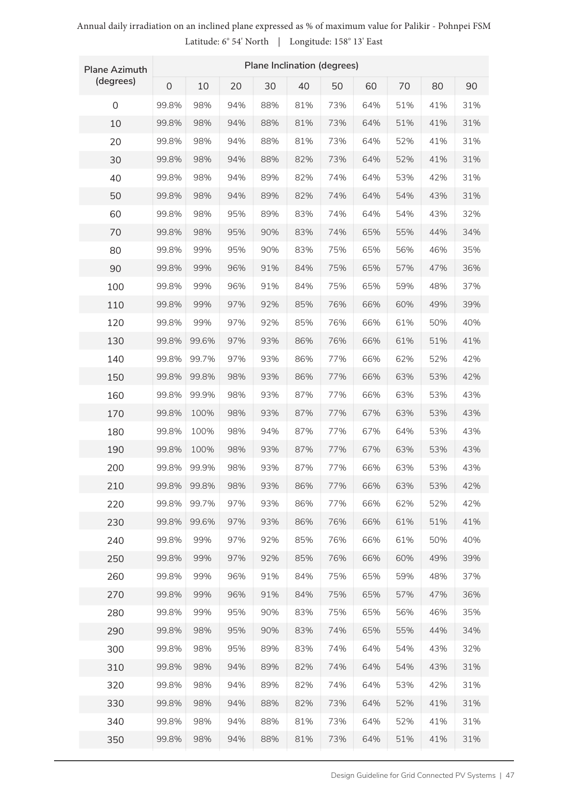| <b>Plane Azimuth</b> | Plane Inclination (degrees) |       |     |     |     |     |     |     |     |     |  |
|----------------------|-----------------------------|-------|-----|-----|-----|-----|-----|-----|-----|-----|--|
| (degrees)            | $\mathsf{O}\xspace$         | 10    | 20  | 30  | 40  | 50  | 60  | 70  | 80  | 90  |  |
| 0                    | 99.8%                       | 98%   | 94% | 88% | 81% | 73% | 64% | 51% | 41% | 31% |  |
| 10                   | 99.8%                       | 98%   | 94% | 88% | 81% | 73% | 64% | 51% | 41% | 31% |  |
| 20                   | 99.8%                       | 98%   | 94% | 88% | 81% | 73% | 64% | 52% | 41% | 31% |  |
| 30                   | 99.8%                       | 98%   | 94% | 88% | 82% | 73% | 64% | 52% | 41% | 31% |  |
| 40                   | 99.8%                       | 98%   | 94% | 89% | 82% | 74% | 64% | 53% | 42% | 31% |  |
| 50                   | 99.8%                       | 98%   | 94% | 89% | 82% | 74% | 64% | 54% | 43% | 31% |  |
| 60                   | 99.8%                       | 98%   | 95% | 89% | 83% | 74% | 64% | 54% | 43% | 32% |  |
| 70                   | 99.8%                       | 98%   | 95% | 90% | 83% | 74% | 65% | 55% | 44% | 34% |  |
| 80                   | 99.8%                       | 99%   | 95% | 90% | 83% | 75% | 65% | 56% | 46% | 35% |  |
| 90                   | 99.8%                       | 99%   | 96% | 91% | 84% | 75% | 65% | 57% | 47% | 36% |  |
| 100                  | 99.8%                       | 99%   | 96% | 91% | 84% | 75% | 65% | 59% | 48% | 37% |  |
| 110                  | 99.8%                       | 99%   | 97% | 92% | 85% | 76% | 66% | 60% | 49% | 39% |  |
| 120                  | 99.8%                       | 99%   | 97% | 92% | 85% | 76% | 66% | 61% | 50% | 40% |  |
| 130                  | 99.8%                       | 99.6% | 97% | 93% | 86% | 76% | 66% | 61% | 51% | 41% |  |
| 140                  | 99.8%                       | 99.7% | 97% | 93% | 86% | 77% | 66% | 62% | 52% | 42% |  |
| 150                  | 99.8%                       | 99.8% | 98% | 93% | 86% | 77% | 66% | 63% | 53% | 42% |  |
| 160                  | 99.8%                       | 99.9% | 98% | 93% | 87% | 77% | 66% | 63% | 53% | 43% |  |
| 170                  | 99.8%                       | 100%  | 98% | 93% | 87% | 77% | 67% | 63% | 53% | 43% |  |
| 180                  | 99.8%                       | 100%  | 98% | 94% | 87% | 77% | 67% | 64% | 53% | 43% |  |
| 190                  | 99.8%                       | 100%  | 98% | 93% | 87% | 77% | 67% | 63% | 53% | 43% |  |
| 200                  | 99.8%                       | 99.9% | 98% | 93% | 87% | 77% | 66% | 63% | 53% | 43% |  |
| 210                  | 99.8%                       | 99.8% | 98% | 93% | 86% | 77% | 66% | 63% | 53% | 42% |  |
| 220                  | 99.8%                       | 99.7% | 97% | 93% | 86% | 77% | 66% | 62% | 52% | 42% |  |
| 230                  | 99.8%                       | 99.6% | 97% | 93% | 86% | 76% | 66% | 61% | 51% | 41% |  |
| 240                  | 99.8%                       | 99%   | 97% | 92% | 85% | 76% | 66% | 61% | 50% | 40% |  |
| 250                  | 99.8%                       | 99%   | 97% | 92% | 85% | 76% | 66% | 60% | 49% | 39% |  |
| 260                  | 99.8%                       | 99%   | 96% | 91% | 84% | 75% | 65% | 59% | 48% | 37% |  |
| 270                  | 99.8%                       | 99%   | 96% | 91% | 84% | 75% | 65% | 57% | 47% | 36% |  |
| 280                  | 99.8%                       | 99%   | 95% | 90% | 83% | 75% | 65% | 56% | 46% | 35% |  |
| 290                  | 99.8%                       | 98%   | 95% | 90% | 83% | 74% | 65% | 55% | 44% | 34% |  |
| 300                  | 99.8%                       | 98%   | 95% | 89% | 83% | 74% | 64% | 54% | 43% | 32% |  |
| 310                  | 99.8%                       | 98%   | 94% | 89% | 82% | 74% | 64% | 54% | 43% | 31% |  |
| 320                  | 99.8%                       | 98%   | 94% | 89% | 82% | 74% | 64% | 53% | 42% | 31% |  |
| 330                  | 99.8%                       | 98%   | 94% | 88% | 82% | 73% | 64% | 52% | 41% | 31% |  |
| 340                  | 99.8%                       | 98%   | 94% | 88% | 81% | 73% | 64% | 52% | 41% | 31% |  |
| 350                  | 99.8%                       | 98%   | 94% | 88% | 81% | 73% | 64% | 51% | 41% | 31% |  |

### Annual daily irradiation on an inclined plane expressed as % of maximum value for Palikir - Pohnpei FSM Latitude: 6° 54' North | Longitude: 158° 13' East